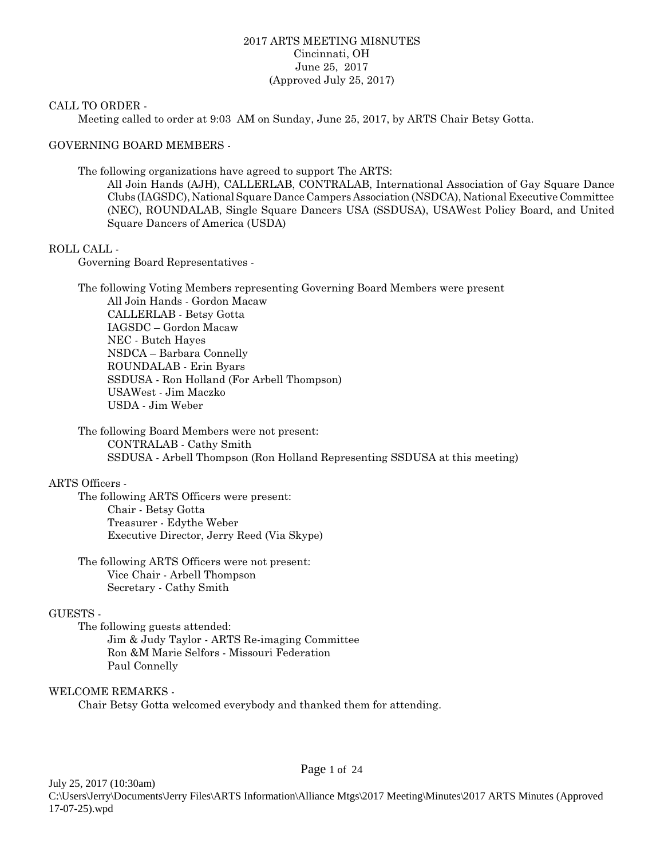#### 2017 ARTS MEETING MI8NUTES Cincinnati, OH June 25, 2017 (Approved July 25, 2017)

#### CALL TO ORDER -

Meeting called to order at 9:03 AM on Sunday, June 25, 2017, by ARTS Chair Betsy Gotta.

#### GOVERNING BOARD MEMBERS -

The following organizations have agreed to support The ARTS:

All Join Hands (AJH), CALLERLAB, CONTRALAB, International Association of Gay Square Dance Clubs (IAGSDC), National Square Dance Campers Association (NSDCA), National Executive Committee (NEC), ROUNDALAB, Single Square Dancers USA (SSDUSA), USAWest Policy Board, and United Square Dancers of America (USDA)

#### ROLL CALL -

Governing Board Representatives -

The following Voting Members representing Governing Board Members were present All Join Hands - Gordon Macaw CALLERLAB - Betsy Gotta IAGSDC – Gordon Macaw NEC - Butch Hayes NSDCA – Barbara Connelly ROUNDALAB - Erin Byars SSDUSA - Ron Holland (For Arbell Thompson) USAWest - Jim Maczko USDA - Jim Weber

The following Board Members were not present: CONTRALAB - Cathy Smith SSDUSA - Arbell Thompson (Ron Holland Representing SSDUSA at this meeting)

#### ARTS Officers -

The following ARTS Officers were present: Chair - Betsy Gotta Treasurer - Edythe Weber Executive Director, Jerry Reed (Via Skype)

The following ARTS Officers were not present: Vice Chair - Arbell Thompson Secretary - Cathy Smith

#### GUESTS -

The following guests attended: Jim & Judy Taylor - ARTS Re-imaging Committee Ron &M Marie Selfors - Missouri Federation Paul Connelly

#### WELCOME REMARKS -

Chair Betsy Gotta welcomed everybody and thanked them for attending.

July 25, 2017 (10:30am) C:\Users\Jerry\Documents\Jerry Files\ARTS Information\Alliance Mtgs\2017 Meeting\Minutes\2017 ARTS Minutes (Approved 17-07-25).wpd

#### Page 1 of 24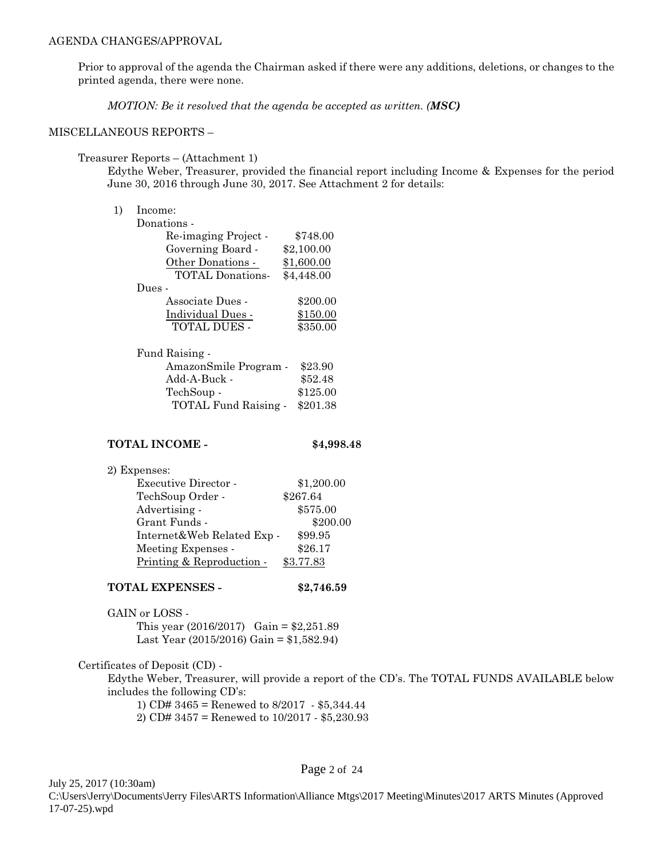Prior to approval of the agenda the Chairman asked if there were any additions, deletions, or changes to the printed agenda, there were none.

*MOTION: Be it resolved that the agenda be accepted as written. (MSC)*

#### MISCELLANEOUS REPORTS –

#### Treasurer Reports – (Attachment 1)

Edythe Weber, Treasurer, provided the financial report including Income & Expenses for the period June 30, 2016 through June 30, 2017. See Attachment 2 for details:

#### 1) Income:

| Donations -             |            |
|-------------------------|------------|
| Re-imaging Project -    | \$748.00   |
| Governing Board -       | \$2,100.00 |
| Other Donations -       | \$1,600.00 |
| <b>TOTAL Donations-</b> | \$4,448.00 |
| Dues -                  |            |
| Associate Dues -        | \$200.00   |
| Individual Dues -       | \$150.00   |
| <b>TOTAL DUES -</b>     | \$350.00   |
|                         |            |

| Fund Raising -        |          |
|-----------------------|----------|
| AmazonSmile Program - | \$23.90  |
| Add-A-Buck -          | \$52.48  |
| TechSoup -            | \$125.00 |
| TOTAL Fund Raising -  | \$201.38 |
|                       |          |

#### **TOTAL INCOME - \$4,998.48**

2) Expenses: Executive Director - \$1,200.00

|                            | \$267.64  |
|----------------------------|-----------|
| TechSoup Order -           |           |
| Advertising -              | \$575.00  |
| Grant Funds -              | \$200.00  |
| Internet&Web Related Exp - | \$99.95   |
| Meeting Expenses -         | \$26.17   |
| Printing & Reproduction -  | \$3.77.83 |

#### **TOTAL EXPENSES - \$2,746.59**

GAIN or LOSS - This year (2016/2017) Gain = \$2,251.89

Last Year (2015/2016) Gain = \$1,582.94)

#### Certificates of Deposit (CD) -

Edythe Weber, Treasurer, will provide a report of the CD's. The TOTAL FUNDS AVAILABLE below includes the following CD's:

1) CD# 3465 = Renewed to 8/2017 - \$5,344.44 2) CD# 3457 = Renewed to 10/2017 - \$5,230.93

July 25, 2017 (10:30am)

Page 2 of 24

C:\Users\Jerry\Documents\Jerry Files\ARTS Information\Alliance Mtgs\2017 Meeting\Minutes\2017 ARTS Minutes (Approved 17-07-25).wpd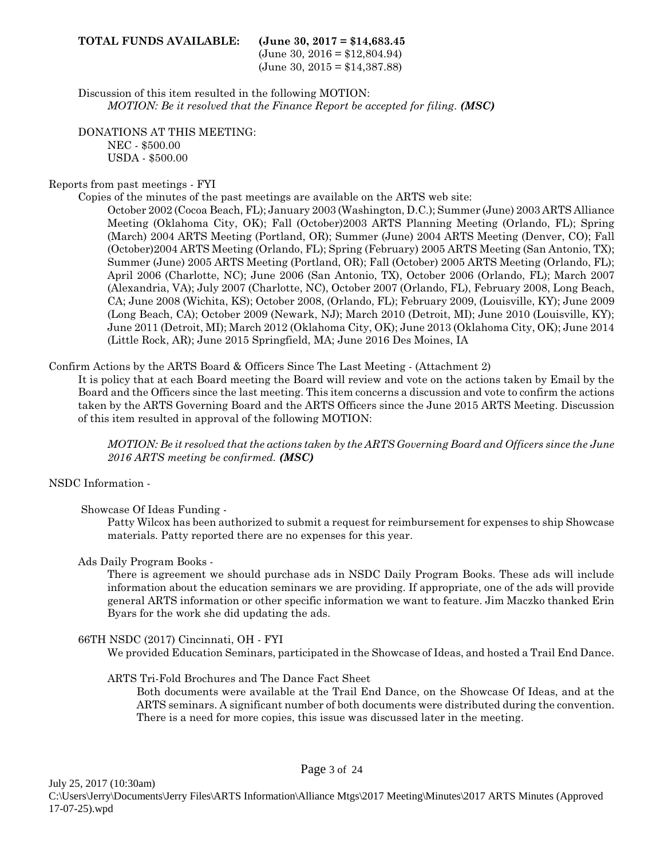#### **TOTAL FUNDS AVAILABLE: (June 30, 2017 = \$14,683.45**

 $(June 30, 2016 = $12,804.94)$ (June 30, 2015 = \$14,387.88)

Discussion of this item resulted in the following MOTION: *MOTION: Be it resolved that the Finance Report be accepted for filing. (MSC)*

DONATIONS AT THIS MEETING: NEC - \$500.00 USDA - \$500.00

#### Reports from past meetings - FYI

Copies of the minutes of the past meetings are available on the ARTS web site:

October 2002 (Cocoa Beach, FL); January 2003 (Washington, D.C.); Summer (June) 2003 ARTS Alliance Meeting (Oklahoma City, OK); Fall (October)2003 ARTS Planning Meeting (Orlando, FL); Spring (March) 2004 ARTS Meeting (Portland, OR); Summer (June) 2004 ARTS Meeting (Denver, CO); Fall (October)2004 ARTS Meeting (Orlando, FL); Spring (February) 2005 ARTS Meeting (San Antonio, TX); Summer (June) 2005 ARTS Meeting (Portland, OR); Fall (October) 2005 ARTS Meeting (Orlando, FL); April 2006 (Charlotte, NC); June 2006 (San Antonio, TX), October 2006 (Orlando, FL); March 2007 (Alexandria, VA); July 2007 (Charlotte, NC), October 2007 (Orlando, FL), February 2008, Long Beach, CA; June 2008 (Wichita, KS); October 2008, (Orlando, FL); February 2009, (Louisville, KY); June 2009 (Long Beach, CA); October 2009 (Newark, NJ); March 2010 (Detroit, MI); June 2010 (Louisville, KY); June 2011 (Detroit, MI); March 2012 (Oklahoma City, OK); June 2013 (Oklahoma City, OK); June 2014 (Little Rock, AR); June 2015 Springfield, MA; June 2016 Des Moines, IA

#### Confirm Actions by the ARTS Board & Officers Since The Last Meeting - (Attachment 2)

It is policy that at each Board meeting the Board will review and vote on the actions taken by Email by the Board and the Officers since the last meeting. This item concerns a discussion and vote to confirm the actions taken by the ARTS Governing Board and the ARTS Officers since the June 2015 ARTS Meeting. Discussion of this item resulted in approval of the following MOTION:

*MOTION: Be it resolved that the actions taken by the ARTS Governing Board and Officers since the June 2016 ARTS meeting be confirmed. (MSC)*

#### NSDC Information -

#### Showcase Of Ideas Funding -

Patty Wilcox has been authorized to submit a request for reimbursement for expenses to ship Showcase materials. Patty reported there are no expenses for this year.

#### Ads Daily Program Books -

There is agreement we should purchase ads in NSDC Daily Program Books. These ads will include information about the education seminars we are providing. If appropriate, one of the ads will provide general ARTS information or other specific information we want to feature. Jim Maczko thanked Erin Byars for the work she did updating the ads.

#### 66TH NSDC (2017) Cincinnati, OH - FYI

We provided Education Seminars, participated in the Showcase of Ideas, and hosted a Trail End Dance.

#### ARTS Tri-Fold Brochures and The Dance Fact Sheet

Both documents were available at the Trail End Dance, on the Showcase Of Ideas, and at the ARTS seminars. A significant number of both documents were distributed during the convention. There is a need for more copies, this issue was discussed later in the meeting.

Page 3 of 24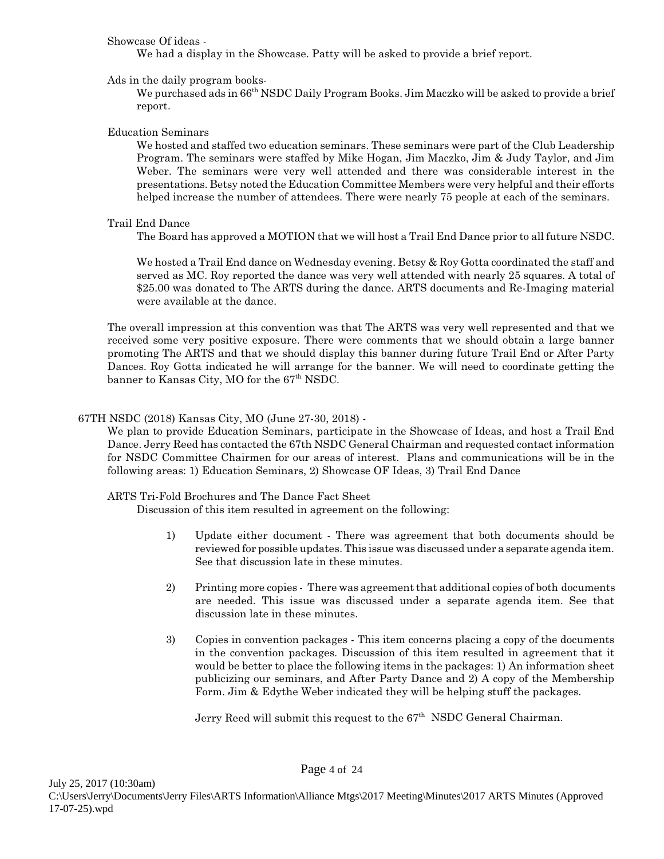#### Showcase Of ideas -

We had a display in the Showcase. Patty will be asked to provide a brief report.

#### Ads in the daily program books-

We purchased ads in 66<sup>th</sup> NSDC Daily Program Books. Jim Maczko will be asked to provide a brief report.

#### Education Seminars

We hosted and staffed two education seminars. These seminars were part of the Club Leadership Program. The seminars were staffed by Mike Hogan, Jim Maczko, Jim & Judy Taylor, and Jim Weber. The seminars were very well attended and there was considerable interest in the presentations. Betsy noted the Education Committee Members were very helpful and their efforts helped increase the number of attendees. There were nearly 75 people at each of the seminars.

#### Trail End Dance

The Board has approved a MOTION that we will host a Trail End Dance prior to all future NSDC.

We hosted a Trail End dance on Wednesday evening. Betsy & Roy Gotta coordinated the staff and served as MC. Roy reported the dance was very well attended with nearly 25 squares. A total of \$25.00 was donated to The ARTS during the dance. ARTS documents and Re-Imaging material were available at the dance.

The overall impression at this convention was that The ARTS was very well represented and that we received some very positive exposure. There were comments that we should obtain a large banner promoting The ARTS and that we should display this banner during future Trail End or After Party Dances. Roy Gotta indicated he will arrange for the banner. We will need to coordinate getting the banner to Kansas City, MO for the 67<sup>th</sup> NSDC.

#### 67TH NSDC (2018) Kansas City, MO (June 27-30, 2018) -

We plan to provide Education Seminars, participate in the Showcase of Ideas, and host a Trail End Dance. Jerry Reed has contacted the 67th NSDC General Chairman and requested contact information for NSDC Committee Chairmen for our areas of interest. Plans and communications will be in the following areas: 1) Education Seminars, 2) Showcase OF Ideas, 3) Trail End Dance

#### ARTS Tri-Fold Brochures and The Dance Fact Sheet

Discussion of this item resulted in agreement on the following:

- 1) Update either document There was agreement that both documents should be reviewed for possible updates. This issue was discussed under a separate agenda item. See that discussion late in these minutes.
- 2) Printing more copies There was agreement that additional copies of both documents are needed. This issue was discussed under a separate agenda item. See that discussion late in these minutes.
- 3) Copies in convention packages This item concerns placing a copy of the documents in the convention packages. Discussion of this item resulted in agreement that it would be better to place the following items in the packages: 1) An information sheet publicizing our seminars, and After Party Dance and 2) A copy of the Membership Form. Jim & Edythe Weber indicated they will be helping stuff the packages.

Jerry Reed will submit this request to the  $67<sup>th</sup>$  NSDC General Chairman.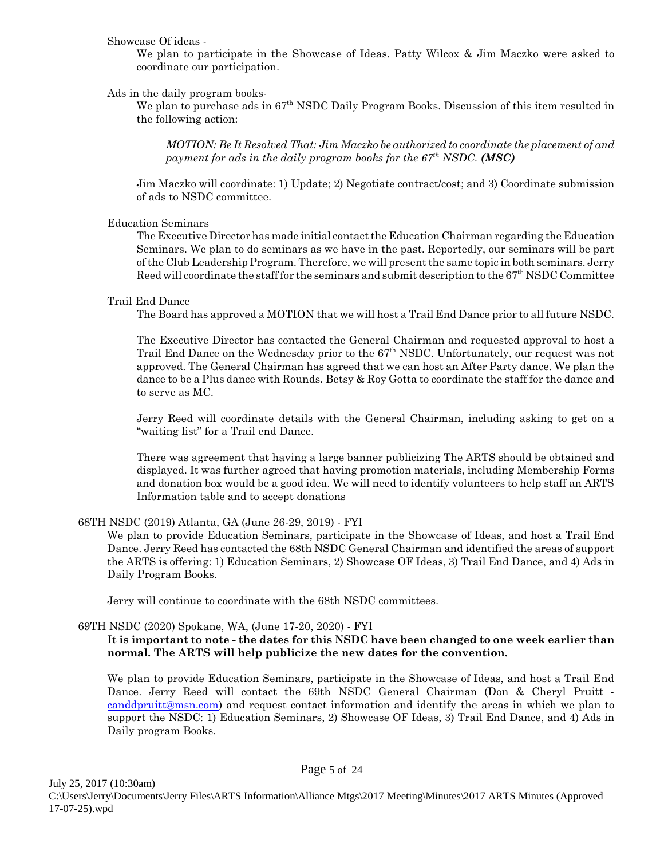#### Showcase Of ideas -

We plan to participate in the Showcase of Ideas. Patty Wilcox & Jim Maczko were asked to coordinate our participation.

#### Ads in the daily program books-

We plan to purchase ads in  $67<sup>th</sup>$  NSDC Daily Program Books. Discussion of this item resulted in the following action:

*MOTION: Be It Resolved That: Jim Maczko be authorized to coordinate the placement of and payment for ads in the daily program books for the 67th NSDC. (MSC)*

Jim Maczko will coordinate: 1) Update; 2) Negotiate contract/cost; and 3) Coordinate submission of ads to NSDC committee.

#### Education Seminars

The Executive Director has made initial contact the Education Chairman regarding the Education Seminars. We plan to do seminars as we have in the past. Reportedly, our seminars will be part of the Club Leadership Program. Therefore, we will present the same topic in both seminars. Jerry Reed will coordinate the staff for the seminars and submit description to the 67th NSDC Committee

#### Trail End Dance

The Board has approved a MOTION that we will host a Trail End Dance prior to all future NSDC.

The Executive Director has contacted the General Chairman and requested approval to host a Trail End Dance on the Wednesday prior to the  $67<sup>th</sup>$  NSDC. Unfortunately, our request was not approved. The General Chairman has agreed that we can host an After Party dance. We plan the dance to be a Plus dance with Rounds. Betsy & Roy Gotta to coordinate the staff for the dance and to serve as MC.

Jerry Reed will coordinate details with the General Chairman, including asking to get on a "waiting list" for a Trail end Dance.

There was agreement that having a large banner publicizing The ARTS should be obtained and displayed. It was further agreed that having promotion materials, including Membership Forms and donation box would be a good idea. We will need to identify volunteers to help staff an ARTS Information table and to accept donations

#### 68TH NSDC (2019) Atlanta, GA (June 26-29, 2019) - FYI

We plan to provide Education Seminars, participate in the Showcase of Ideas, and host a Trail End Dance. Jerry Reed has contacted the 68th NSDC General Chairman and identified the areas of support the ARTS is offering: 1) Education Seminars, 2) Showcase OF Ideas, 3) Trail End Dance, and 4) Ads in Daily Program Books.

Jerry will continue to coordinate with the 68th NSDC committees.

#### 69TH NSDC (2020) Spokane, WA, (June 17-20, 2020) - FYI

#### **It is important to note - the dates for this NSDC have been changed to one week earlier than normal. The ARTS will help publicize the new dates for the convention.**

We plan to provide Education Seminars, participate in the Showcase of Ideas, and host a Trail End Dance. Jerry Reed will contact the 69th NSDC General Chairman (Don & Cheryl Pruitt [canddpruitt@msn.com](mailto:canddpruitt@msn.com)) and request contact information and identify the areas in which we plan to support the NSDC: 1) Education Seminars, 2) Showcase OF Ideas, 3) Trail End Dance, and 4) Ads in Daily program Books.

Page 5 of 24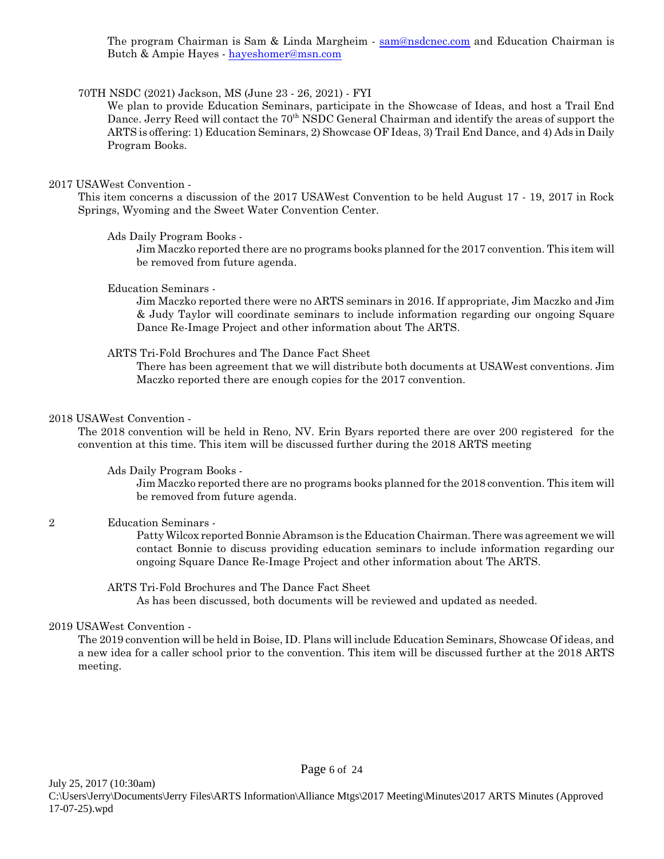The program Chairman is Sam & Linda Margheim - [sam@nsdcnec.com](mailto:sam@nsdcnec.com) and Education Chairman is Butch & Ampie Hayes - [hayeshomer@msn.com](mailto:hayeshomer@msn.com)

#### 70TH NSDC (2021) Jackson, MS (June 23 - 26, 2021) - FYI

We plan to provide Education Seminars, participate in the Showcase of Ideas, and host a Trail End Dance. Jerry Reed will contact the 70<sup>th</sup> NSDC General Chairman and identify the areas of support the ARTS is offering: 1) Education Seminars, 2) Showcase OF Ideas, 3) Trail End Dance, and 4) Ads in Daily Program Books.

#### 2017 USAWest Convention -

This item concerns a discussion of the 2017 USAWest Convention to be held August 17 - 19, 2017 in Rock Springs, Wyoming and the Sweet Water Convention Center.

#### Ads Daily Program Books -

Jim Maczko reported there are no programs books planned for the 2017 convention. This item will be removed from future agenda.

#### Education Seminars -

Jim Maczko reported there were no ARTS seminars in 2016. If appropriate, Jim Maczko and Jim & Judy Taylor will coordinate seminars to include information regarding our ongoing Square Dance Re-Image Project and other information about The ARTS.

#### ARTS Tri-Fold Brochures and The Dance Fact Sheet

There has been agreement that we will distribute both documents at USAWest conventions. Jim Maczko reported there are enough copies for the 2017 convention.

#### 2018 USAWest Convention -

The 2018 convention will be held in Reno, NV. Erin Byars reported there are over 200 registered for the convention at this time. This item will be discussed further during the 2018 ARTS meeting

#### Ads Daily Program Books -

Jim Maczko reported there are no programs books planned for the 2018 convention. This item will be removed from future agenda.

#### 2 Education Seminars -

Patty Wilcox reported Bonnie Abramson is the Education Chairman. There was agreement we will contact Bonnie to discuss providing education seminars to include information regarding our ongoing Square Dance Re-Image Project and other information about The ARTS.

#### ARTS Tri-Fold Brochures and The Dance Fact Sheet

As has been discussed, both documents will be reviewed and updated as needed.

#### 2019 USAWest Convention -

The 2019 convention will be held in Boise, ID. Plans will include Education Seminars, Showcase Of ideas, and a new idea for a caller school prior to the convention. This item will be discussed further at the 2018 ARTS meeting.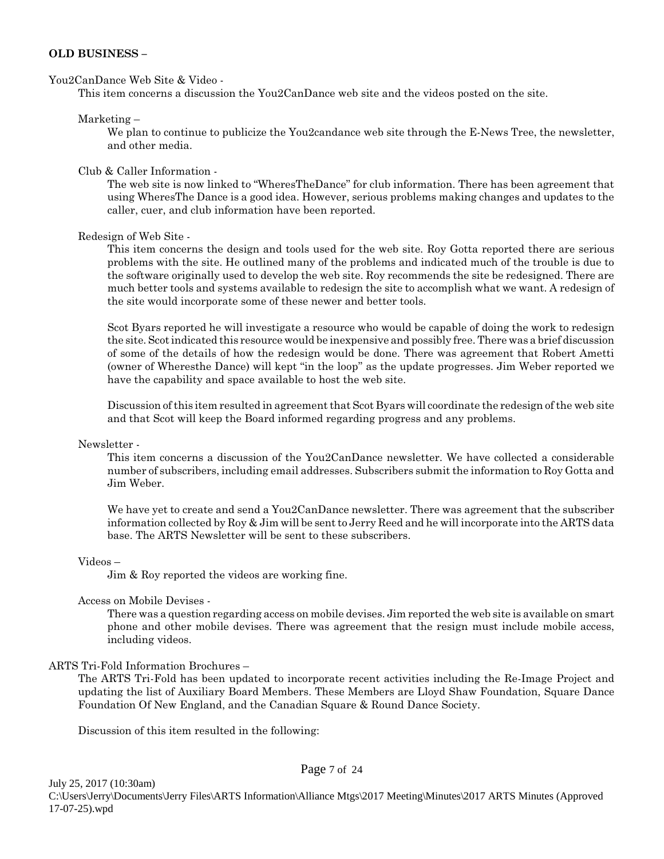#### **OLD BUSINESS –**

#### You2CanDance Web Site & Video -

This item concerns a discussion the You2CanDance web site and the videos posted on the site.

#### Marketing –

We plan to continue to publicize the You2candance web site through the E-News Tree, the newsletter, and other media.

#### Club & Caller Information -

The web site is now linked to "WheresTheDance" for club information. There has been agreement that using WheresThe Dance is a good idea. However, serious problems making changes and updates to the caller, cuer, and club information have been reported.

#### Redesign of Web Site -

This item concerns the design and tools used for the web site. Roy Gotta reported there are serious problems with the site. He outlined many of the problems and indicated much of the trouble is due to the software originally used to develop the web site. Roy recommends the site be redesigned. There are much better tools and systems available to redesign the site to accomplish what we want. A redesign of the site would incorporate some of these newer and better tools.

Scot Byars reported he will investigate a resource who would be capable of doing the work to redesign the site. Scot indicated this resource would be inexpensive and possibly free. There was a brief discussion of some of the details of how the redesign would be done. There was agreement that Robert Ametti (owner of Wheresthe Dance) will kept "in the loop" as the update progresses. Jim Weber reported we have the capability and space available to host the web site.

Discussion of this item resulted in agreement that Scot Byars will coordinate the redesign of the web site and that Scot will keep the Board informed regarding progress and any problems.

#### Newsletter -

This item concerns a discussion of the You2CanDance newsletter. We have collected a considerable number of subscribers, including email addresses. Subscribers submit the information to Roy Gotta and Jim Weber.

We have yet to create and send a You2CanDance newsletter. There was agreement that the subscriber information collected by Roy & Jim will be sent to Jerry Reed and he will incorporate into the ARTS data base. The ARTS Newsletter will be sent to these subscribers.

#### Videos –

Jim & Roy reported the videos are working fine.

#### Access on Mobile Devises -

There was a question regarding access on mobile devises. Jim reported the web site is available on smart phone and other mobile devises. There was agreement that the resign must include mobile access, including videos.

#### ARTS Tri-Fold Information Brochures –

The ARTS Tri-Fold has been updated to incorporate recent activities including the Re-Image Project and updating the list of Auxiliary Board Members. These Members are Lloyd Shaw Foundation, Square Dance Foundation Of New England, and the Canadian Square & Round Dance Society.

Discussion of this item resulted in the following:

#### Page 7 of 24

July 25, 2017 (10:30am) C:\Users\Jerry\Documents\Jerry Files\ARTS Information\Alliance Mtgs\2017 Meeting\Minutes\2017 ARTS Minutes (Approved 17-07-25).wpd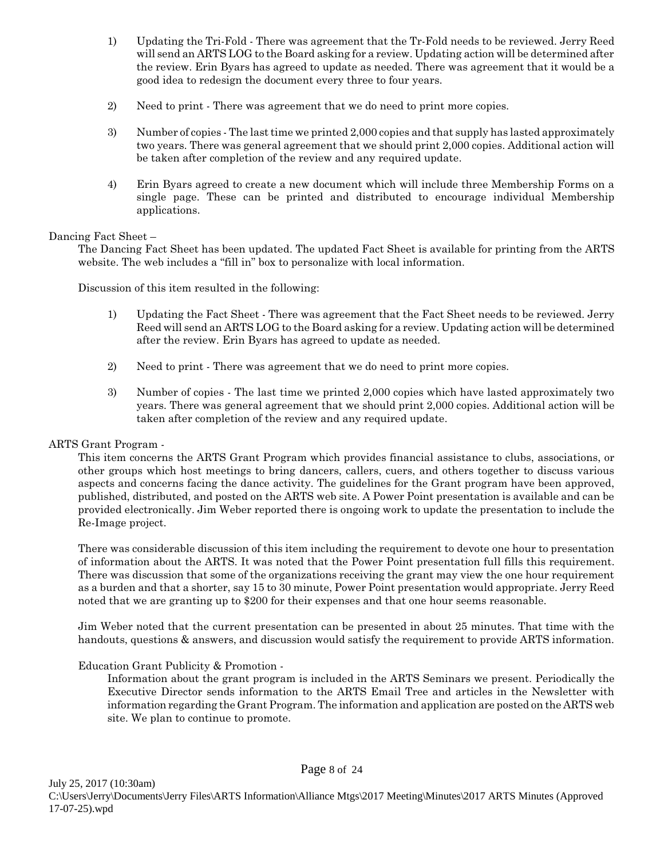- 1) Updating the Tri-Fold There was agreement that the Tr-Fold needs to be reviewed. Jerry Reed will send an ARTS LOG to the Board asking for a review. Updating action will be determined after the review. Erin Byars has agreed to update as needed. There was agreement that it would be a good idea to redesign the document every three to four years.
- 2) Need to print There was agreement that we do need to print more copies.
- 3) Number of copies The last time we printed 2,000 copies and that supply has lasted approximately two years. There was general agreement that we should print 2,000 copies. Additional action will be taken after completion of the review and any required update.
- 4) Erin Byars agreed to create a new document which will include three Membership Forms on a single page. These can be printed and distributed to encourage individual Membership applications.

#### Dancing Fact Sheet –

The Dancing Fact Sheet has been updated. The updated Fact Sheet is available for printing from the ARTS website. The web includes a "fill in" box to personalize with local information.

Discussion of this item resulted in the following:

- 1) Updating the Fact Sheet There was agreement that the Fact Sheet needs to be reviewed. Jerry Reed will send an ARTS LOG to the Board asking for a review. Updating action will be determined after the review. Erin Byars has agreed to update as needed.
- 2) Need to print There was agreement that we do need to print more copies.
- 3) Number of copies The last time we printed 2,000 copies which have lasted approximately two years. There was general agreement that we should print 2,000 copies. Additional action will be taken after completion of the review and any required update.

#### ARTS Grant Program -

This item concerns the ARTS Grant Program which provides financial assistance to clubs, associations, or other groups which host meetings to bring dancers, callers, cuers, and others together to discuss various aspects and concerns facing the dance activity. The guidelines for the Grant program have been approved, published, distributed, and posted on the ARTS web site. A Power Point presentation is available and can be provided electronically. Jim Weber reported there is ongoing work to update the presentation to include the Re-Image project.

There was considerable discussion of this item including the requirement to devote one hour to presentation of information about the ARTS. It was noted that the Power Point presentation full fills this requirement. There was discussion that some of the organizations receiving the grant may view the one hour requirement as a burden and that a shorter, say 15 to 30 minute, Power Point presentation would appropriate. Jerry Reed noted that we are granting up to \$200 for their expenses and that one hour seems reasonable.

Jim Weber noted that the current presentation can be presented in about 25 minutes. That time with the handouts, questions & answers, and discussion would satisfy the requirement to provide ARTS information.

#### Education Grant Publicity & Promotion -

Information about the grant program is included in the ARTS Seminars we present. Periodically the Executive Director sends information to the ARTS Email Tree and articles in the Newsletter with information regarding the Grant Program. The information and application are posted on the ARTS web site. We plan to continue to promote.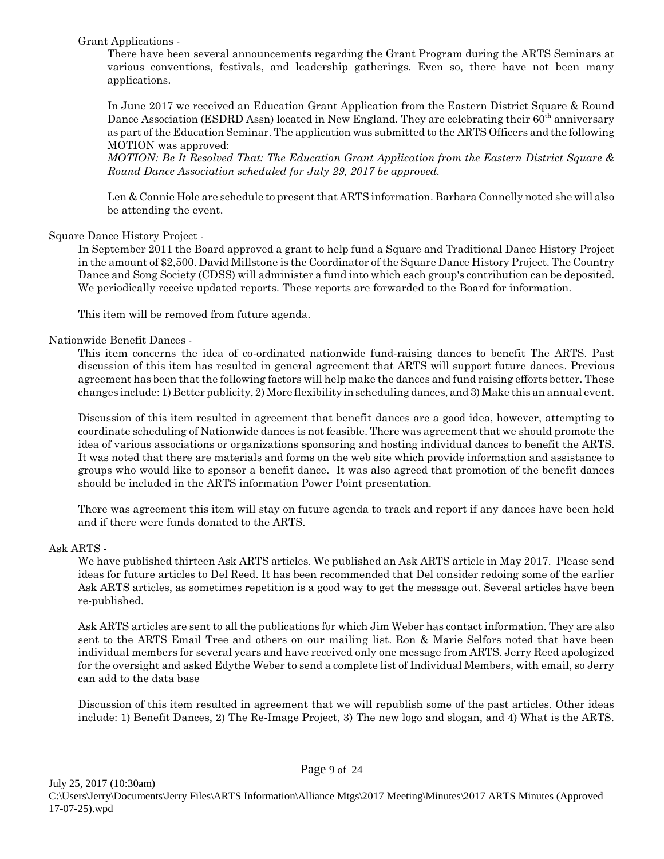Grant Applications -

There have been several announcements regarding the Grant Program during the ARTS Seminars at various conventions, festivals, and leadership gatherings. Even so, there have not been many applications.

In June 2017 we received an Education Grant Application from the Eastern District Square & Round Dance Association (ESDRD Assn) located in New England. They are celebrating their 60<sup>th</sup> anniversary as part of the Education Seminar. The application was submitted to the ARTS Officers and the following MOTION was approved:

*MOTION: Be It Resolved That: The Education Grant Application from the Eastern District Square & Round Dance Association scheduled for July 29, 2017 be approved.*

Len & Connie Hole are schedule to present that ARTS information. Barbara Connelly noted she will also be attending the event.

#### Square Dance History Project -

In September 2011 the Board approved a grant to help fund a Square and Traditional Dance History Project in the amount of \$2,500. David Millstone is the Coordinator of the Square Dance History Project. The Country Dance and Song Society (CDSS) will administer a fund into which each group's contribution can be deposited. We periodically receive updated reports. These reports are forwarded to the Board for information.

This item will be removed from future agenda.

#### Nationwide Benefit Dances -

This item concerns the idea of co-ordinated nationwide fund-raising dances to benefit The ARTS. Past discussion of this item has resulted in general agreement that ARTS will support future dances. Previous agreement has been that the following factors will help make the dances and fund raising efforts better. These changes include: 1) Better publicity, 2) More flexibility in scheduling dances, and 3) Make this an annual event.

Discussion of this item resulted in agreement that benefit dances are a good idea, however, attempting to coordinate scheduling of Nationwide dances is not feasible. There was agreement that we should promote the idea of various associations or organizations sponsoring and hosting individual dances to benefit the ARTS. It was noted that there are materials and forms on the web site which provide information and assistance to groups who would like to sponsor a benefit dance. It was also agreed that promotion of the benefit dances should be included in the ARTS information Power Point presentation.

There was agreement this item will stay on future agenda to track and report if any dances have been held and if there were funds donated to the ARTS.

#### Ask ARTS -

We have published thirteen Ask ARTS articles. We published an Ask ARTS article in May 2017. Please send ideas for future articles to Del Reed. It has been recommended that Del consider redoing some of the earlier Ask ARTS articles, as sometimes repetition is a good way to get the message out. Several articles have been re-published.

Ask ARTS articles are sent to all the publications for which Jim Weber has contact information. They are also sent to the ARTS Email Tree and others on our mailing list. Ron & Marie Selfors noted that have been individual members for several years and have received only one message from ARTS. Jerry Reed apologized for the oversight and asked Edythe Weber to send a complete list of Individual Members, with email, so Jerry can add to the data base

Discussion of this item resulted in agreement that we will republish some of the past articles. Other ideas include: 1) Benefit Dances, 2) The Re-Image Project, 3) The new logo and slogan, and 4) What is the ARTS.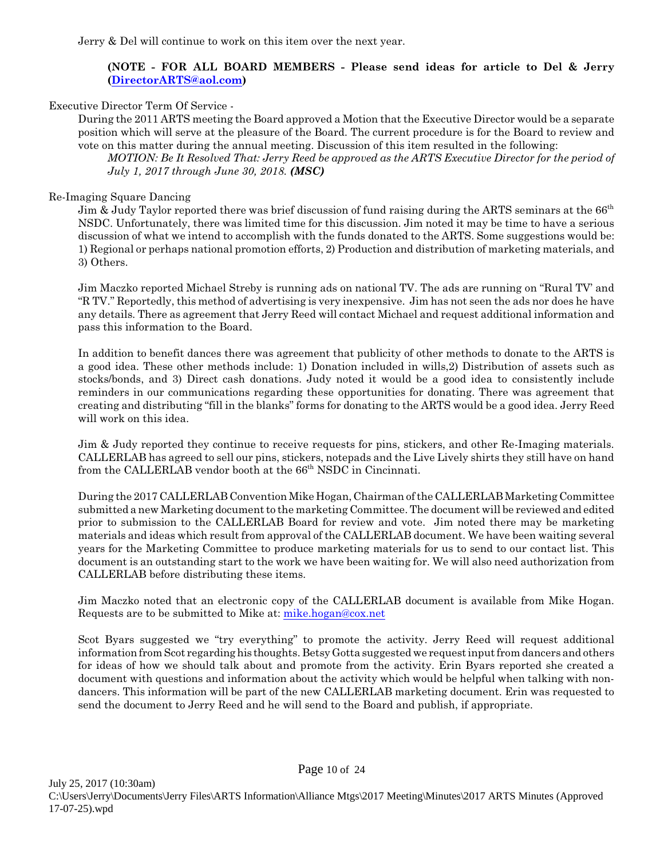Jerry & Del will continue to work on this item over the next year.

#### **(NOTE - FOR ALL BOARD MEMBERS - Please send ideas for article to Del & Jerry [\(DirectorARTS@aol.com](mailto:DirectorARTS@aol.com))**

#### Executive Director Term Of Service -

During the 2011 ARTS meeting the Board approved a Motion that the Executive Director would be a separate position which will serve at the pleasure of the Board. The current procedure is for the Board to review and vote on this matter during the annual meeting. Discussion of this item resulted in the following:

*MOTION: Be It Resolved That: Jerry Reed be approved as the ARTS Executive Director for the period of July 1, 2017 through June 30, 2018. (MSC)*

#### Re-Imaging Square Dancing

Jim & Judy Taylor reported there was brief discussion of fund raising during the ARTS seminars at the  $66<sup>th</sup>$ NSDC. Unfortunately, there was limited time for this discussion. Jim noted it may be time to have a serious discussion of what we intend to accomplish with the funds donated to the ARTS. Some suggestions would be: 1) Regional or perhaps national promotion efforts, 2) Production and distribution of marketing materials, and 3) Others.

Jim Maczko reported Michael Streby is running ads on national TV. The ads are running on "Rural TV' and "R TV." Reportedly, this method of advertising is very inexpensive. Jim has not seen the ads nor does he have any details. There as agreement that Jerry Reed will contact Michael and request additional information and pass this information to the Board.

In addition to benefit dances there was agreement that publicity of other methods to donate to the ARTS is a good idea. These other methods include: 1) Donation included in wills,2) Distribution of assets such as stocks/bonds, and 3) Direct cash donations. Judy noted it would be a good idea to consistently include reminders in our communications regarding these opportunities for donating. There was agreement that creating and distributing "fill in the blanks" forms for donating to the ARTS would be a good idea. Jerry Reed will work on this idea.

Jim & Judy reported they continue to receive requests for pins, stickers, and other Re-Imaging materials. CALLERLAB has agreed to sell our pins, stickers, notepads and the Live Lively shirts they still have on hand from the CALLERLAB vendor booth at the 66<sup>th</sup> NSDC in Cincinnati.

During the 2017 CALLERLAB Convention Mike Hogan, Chairman of the CALLERLAB Marketing Committee submitted a new Marketing document to the marketing Committee. The document will be reviewed and edited prior to submission to the CALLERLAB Board for review and vote. Jim noted there may be marketing materials and ideas which result from approval of the CALLERLAB document. We have been waiting several years for the Marketing Committee to produce marketing materials for us to send to our contact list. This document is an outstanding start to the work we have been waiting for. We will also need authorization from CALLERLAB before distributing these items.

Jim Maczko noted that an electronic copy of the CALLERLAB document is available from Mike Hogan. Requests are to be submitted to Mike at: [mike.hogan@cox.net](mailto:mike.hogan@cox.net)

Scot Byars suggested we "try everything" to promote the activity. Jerry Reed will request additional information from Scot regarding his thoughts. Betsy Gotta suggested we request input from dancers and others for ideas of how we should talk about and promote from the activity. Erin Byars reported she created a document with questions and information about the activity which would be helpful when talking with nondancers. This information will be part of the new CALLERLAB marketing document. Erin was requested to send the document to Jerry Reed and he will send to the Board and publish, if appropriate.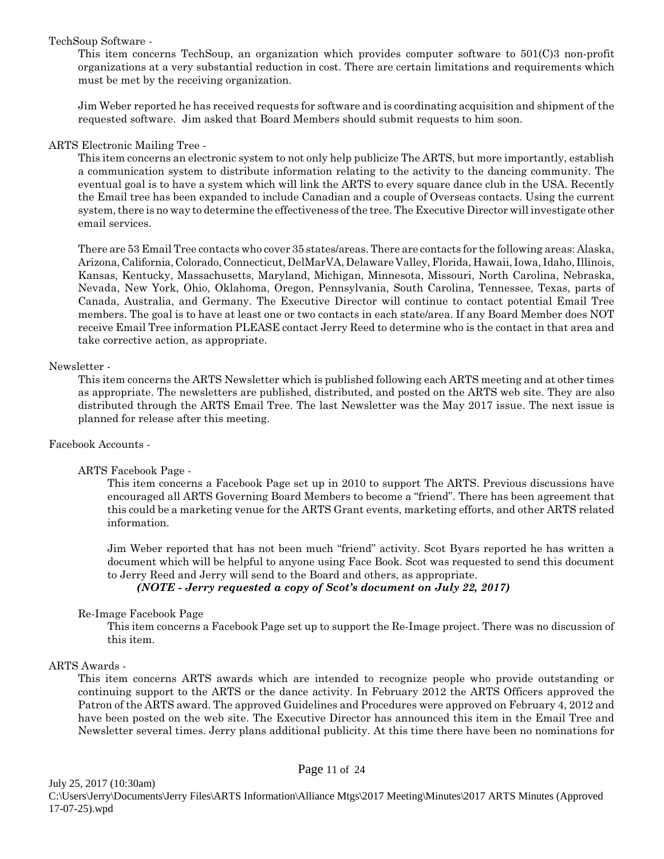#### TechSoup Software -

This item concerns TechSoup, an organization which provides computer software to 501(C)3 non-profit organizations at a very substantial reduction in cost. There are certain limitations and requirements which must be met by the receiving organization.

Jim Weber reported he has received requests for software and is coordinating acquisition and shipment of the requested software. Jim asked that Board Members should submit requests to him soon.

#### ARTS Electronic Mailing Tree -

This item concerns an electronic system to not only help publicize The ARTS, but more importantly, establish a communication system to distribute information relating to the activity to the dancing community. The eventual goal is to have a system which will link the ARTS to every square dance club in the USA. Recently the Email tree has been expanded to include Canadian and a couple of Overseas contacts. Using the current system, there is no way to determine the effectiveness of the tree. The Executive Director will investigate other email services.

There are 53 Email Tree contacts who cover 35 states/areas. There are contacts for the following areas: Alaska, Arizona, California, Colorado, Connecticut, DelMarVA, Delaware Valley, Florida, Hawaii, Iowa, Idaho, Illinois, Kansas, Kentucky, Massachusetts, Maryland, Michigan, Minnesota, Missouri, North Carolina, Nebraska, Nevada, New York, Ohio, Oklahoma, Oregon, Pennsylvania, South Carolina, Tennessee, Texas, parts of Canada, Australia, and Germany. The Executive Director will continue to contact potential Email Tree members. The goal is to have at least one or two contacts in each state/area. If any Board Member does NOT receive Email Tree information PLEASE contact Jerry Reed to determine who is the contact in that area and take corrective action, as appropriate.

#### Newsletter -

This item concerns the ARTS Newsletter which is published following each ARTS meeting and at other times as appropriate. The newsletters are published, distributed, and posted on the ARTS web site. They are also distributed through the ARTS Email Tree. The last Newsletter was the May 2017 issue. The next issue is planned for release after this meeting.

#### Facebook Accounts -

#### ARTS Facebook Page -

This item concerns a Facebook Page set up in 2010 to support The ARTS. Previous discussions have encouraged all ARTS Governing Board Members to become a "friend". There has been agreement that this could be a marketing venue for the ARTS Grant events, marketing efforts, and other ARTS related information.

Jim Weber reported that has not been much "friend" activity. Scot Byars reported he has written a document which will be helpful to anyone using Face Book. Scot was requested to send this document to Jerry Reed and Jerry will send to the Board and others, as appropriate.

*(NOTE - Jerry requested a copy of Scot's document on July 22, 2017)*

#### Re-Image Facebook Page

This item concerns a Facebook Page set up to support the Re-Image project. There was no discussion of this item.

#### ARTS Awards -

This item concerns ARTS awards which are intended to recognize people who provide outstanding or continuing support to the ARTS or the dance activity. In February 2012 the ARTS Officers approved the Patron of the ARTS award. The approved Guidelines and Procedures were approved on February 4, 2012 and have been posted on the web site. The Executive Director has announced this item in the Email Tree and Newsletter several times. Jerry plans additional publicity. At this time there have been no nominations for

July 25, 2017 (10:30am)

Page 11 of 24

C:\Users\Jerry\Documents\Jerry Files\ARTS Information\Alliance Mtgs\2017 Meeting\Minutes\2017 ARTS Minutes (Approved 17-07-25).wpd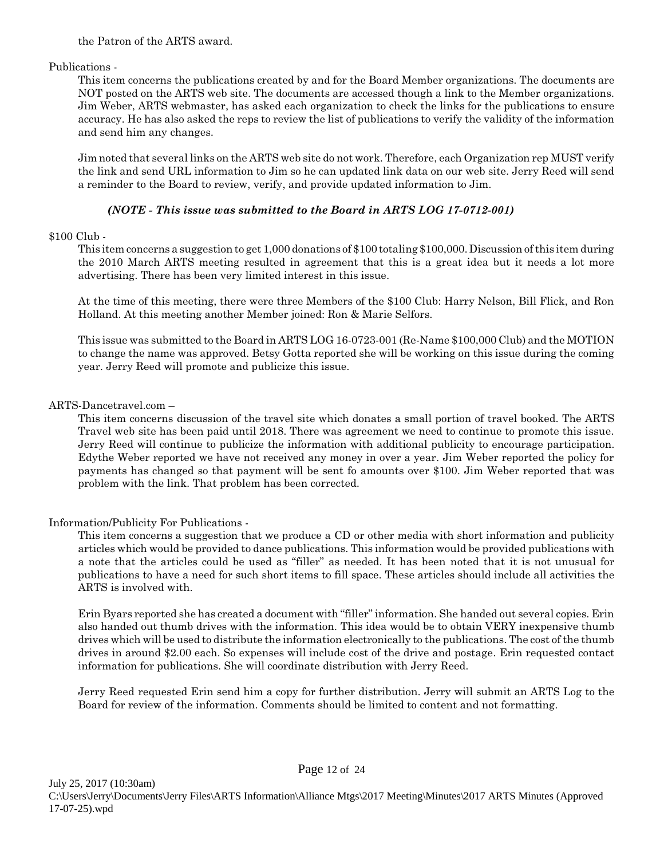the Patron of the ARTS award.

Publications -

This item concerns the publications created by and for the Board Member organizations. The documents are NOT posted on the ARTS web site. The documents are accessed though a link to the Member organizations. Jim Weber, ARTS webmaster, has asked each organization to check the links for the publications to ensure accuracy. He has also asked the reps to review the list of publications to verify the validity of the information and send him any changes.

Jim noted that several links on the ARTS web site do not work. Therefore, each Organization rep MUST verify the link and send URL information to Jim so he can updated link data on our web site. Jerry Reed will send a reminder to the Board to review, verify, and provide updated information to Jim.

## *(NOTE - This issue was submitted to the Board in ARTS LOG 17-0712-001)*

### \$100 Club -

This item concerns a suggestion to get 1,000 donations of \$100 totaling \$100,000. Discussion of this item during the 2010 March ARTS meeting resulted in agreement that this is a great idea but it needs a lot more advertising. There has been very limited interest in this issue.

At the time of this meeting, there were three Members of the \$100 Club: Harry Nelson, Bill Flick, and Ron Holland. At this meeting another Member joined: Ron & Marie Selfors.

This issue was submitted to the Board in ARTS LOG 16-0723-001 (Re-Name \$100,000 Club) and the MOTION to change the name was approved. Betsy Gotta reported she will be working on this issue during the coming year. Jerry Reed will promote and publicize this issue.

### ARTS-Dancetravel.com –

This item concerns discussion of the travel site which donates a small portion of travel booked. The ARTS Travel web site has been paid until 2018. There was agreement we need to continue to promote this issue. Jerry Reed will continue to publicize the information with additional publicity to encourage participation. Edythe Weber reported we have not received any money in over a year. Jim Weber reported the policy for payments has changed so that payment will be sent fo amounts over \$100. Jim Weber reported that was problem with the link. That problem has been corrected.

### Information/Publicity For Publications -

This item concerns a suggestion that we produce a CD or other media with short information and publicity articles which would be provided to dance publications. This information would be provided publications with a note that the articles could be used as "filler" as needed. It has been noted that it is not unusual for publications to have a need for such short items to fill space. These articles should include all activities the ARTS is involved with.

Erin Byars reported she has created a document with "filler" information. She handed out several copies. Erin also handed out thumb drives with the information. This idea would be to obtain VERY inexpensive thumb drives which will be used to distribute the information electronically to the publications. The cost of the thumb drives in around \$2.00 each. So expenses will include cost of the drive and postage. Erin requested contact information for publications. She will coordinate distribution with Jerry Reed.

Jerry Reed requested Erin send him a copy for further distribution. Jerry will submit an ARTS Log to the Board for review of the information. Comments should be limited to content and not formatting.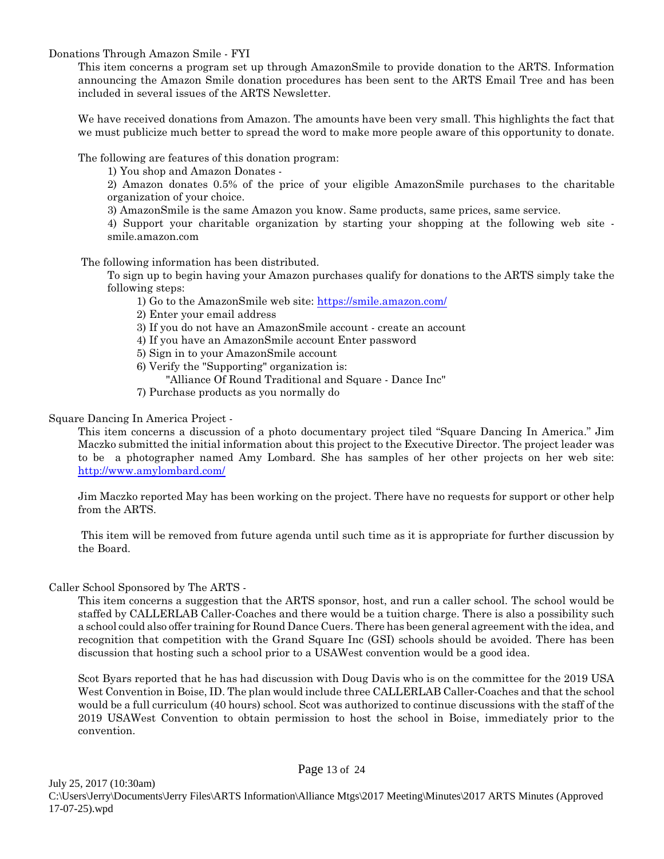Donations Through Amazon Smile - FYI

This item concerns a program set up through AmazonSmile to provide donation to the ARTS. Information announcing the Amazon Smile donation procedures has been sent to the ARTS Email Tree and has been included in several issues of the ARTS Newsletter.

We have received donations from Amazon. The amounts have been very small. This highlights the fact that we must publicize much better to spread the word to make more people aware of this opportunity to donate.

The following are features of this donation program:

1) You shop and Amazon Donates -

2) Amazon donates 0.5% of the price of your eligible AmazonSmile purchases to the charitable organization of your choice.

3) AmazonSmile is the same Amazon you know. Same products, same prices, same service.

4) Support your charitable organization by starting your shopping at the following web site smile.amazon.com

The following information has been distributed.

To sign up to begin having your Amazon purchases qualify for donations to the ARTS simply take the following steps:

1) Go to the AmazonSmile web site:<https://smile.amazon.com/>

2) Enter your email address

3) If you do not have an AmazonSmile account - create an account

4) If you have an AmazonSmile account Enter password

5) Sign in to your AmazonSmile account

- 6) Verify the "Supporting" organization is:
	- "Alliance Of Round Traditional and Square Dance Inc"
- 7) Purchase products as you normally do

Square Dancing In America Project -

This item concerns a discussion of a photo documentary project tiled "Square Dancing In America." Jim Maczko submitted the initial information about this project to the Executive Director. The project leader was to be a photographer named Amy Lombard. She has samples of her other projects on her web site: <http://www.amylombard.com/>

Jim Maczko reported May has been working on the project. There have no requests for support or other help from the ARTS.

 This item will be removed from future agenda until such time as it is appropriate for further discussion by the Board.

Caller School Sponsored by The ARTS -

This item concerns a suggestion that the ARTS sponsor, host, and run a caller school. The school would be staffed by CALLERLAB Caller-Coaches and there would be a tuition charge. There is also a possibility such a school could also offer training for Round Dance Cuers. There has been general agreement with the idea, and recognition that competition with the Grand Square Inc (GSI) schools should be avoided. There has been discussion that hosting such a school prior to a USAWest convention would be a good idea.

Scot Byars reported that he has had discussion with Doug Davis who is on the committee for the 2019 USA West Convention in Boise, ID. The plan would include three CALLERLAB Caller-Coaches and that the school would be a full curriculum (40 hours) school. Scot was authorized to continue discussions with the staff of the 2019 USAWest Convention to obtain permission to host the school in Boise, immediately prior to the convention.

Page 13 of 24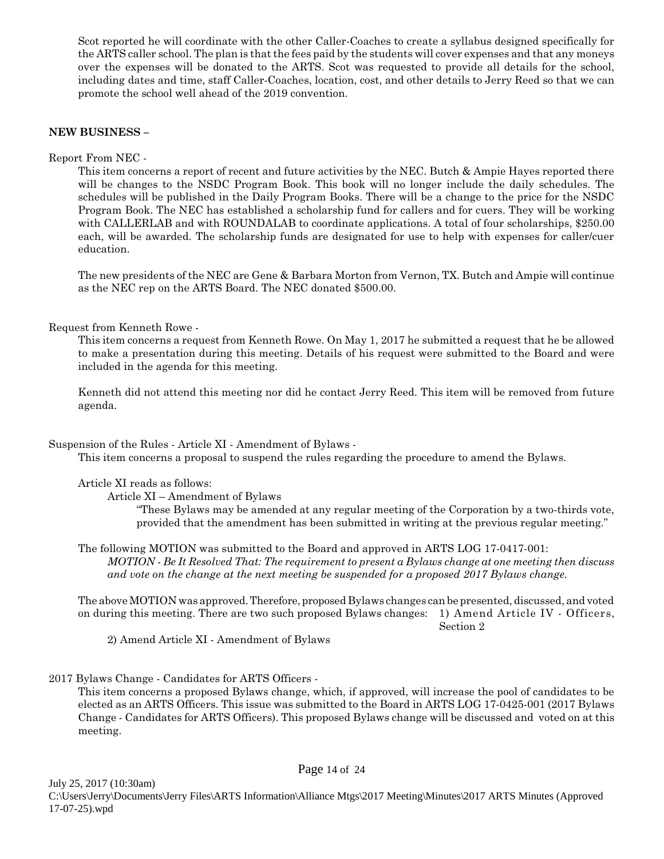Scot reported he will coordinate with the other Caller-Coaches to create a syllabus designed specifically for the ARTS caller school. The plan is that the fees paid by the students will cover expenses and that any moneys over the expenses will be donated to the ARTS. Scot was requested to provide all details for the school, including dates and time, staff Caller-Coaches, location, cost, and other details to Jerry Reed so that we can promote the school well ahead of the 2019 convention.

#### **NEW BUSINESS –**

Report From NEC -

This item concerns a report of recent and future activities by the NEC. Butch & Ampie Hayes reported there will be changes to the NSDC Program Book. This book will no longer include the daily schedules. The schedules will be published in the Daily Program Books. There will be a change to the price for the NSDC Program Book. The NEC has established a scholarship fund for callers and for cuers. They will be working with CALLERLAB and with ROUNDALAB to coordinate applications. A total of four scholarships, \$250.00 each, will be awarded. The scholarship funds are designated for use to help with expenses for caller/cuer education.

The new presidents of the NEC are Gene & Barbara Morton from Vernon, TX. Butch and Ampie will continue as the NEC rep on the ARTS Board. The NEC donated \$500.00.

#### Request from Kenneth Rowe -

This item concerns a request from Kenneth Rowe. On May 1, 2017 he submitted a request that he be allowed to make a presentation during this meeting. Details of his request were submitted to the Board and were included in the agenda for this meeting.

Kenneth did not attend this meeting nor did he contact Jerry Reed. This item will be removed from future agenda.

Suspension of the Rules - Article XI - Amendment of Bylaws -

This item concerns a proposal to suspend the rules regarding the procedure to amend the Bylaws.

Article XI reads as follows:

Article XI – Amendment of Bylaws

"These Bylaws may be amended at any regular meeting of the Corporation by a two-thirds vote, provided that the amendment has been submitted in writing at the previous regular meeting."

The following MOTION was submitted to the Board and approved in ARTS LOG 17-0417-001: *MOTION - Be It Resolved That: The requirement to present a Bylaws change at one meeting then discuss and vote on the change at the next meeting be suspended for a proposed 2017 Bylaws change.*

The above MOTION was approved. Therefore, proposed Bylaws changes can be presented, discussed, and voted on during this meeting. There are two such proposed Bylaws changes: 1) Amend Article IV - Officers, Section 2

2) Amend Article XI - Amendment of Bylaws

2017 Bylaws Change - Candidates for ARTS Officers -

This item concerns a proposed Bylaws change, which, if approved, will increase the pool of candidates to be elected as an ARTS Officers. This issue was submitted to the Board in ARTS LOG 17-0425-001 (2017 Bylaws Change - Candidates for ARTS Officers). This proposed Bylaws change will be discussed and voted on at this meeting.

Page 14 of 24

July 25, 2017 (10:30am) C:\Users\Jerry\Documents\Jerry Files\ARTS Information\Alliance Mtgs\2017 Meeting\Minutes\2017 ARTS Minutes (Approved 17-07-25).wpd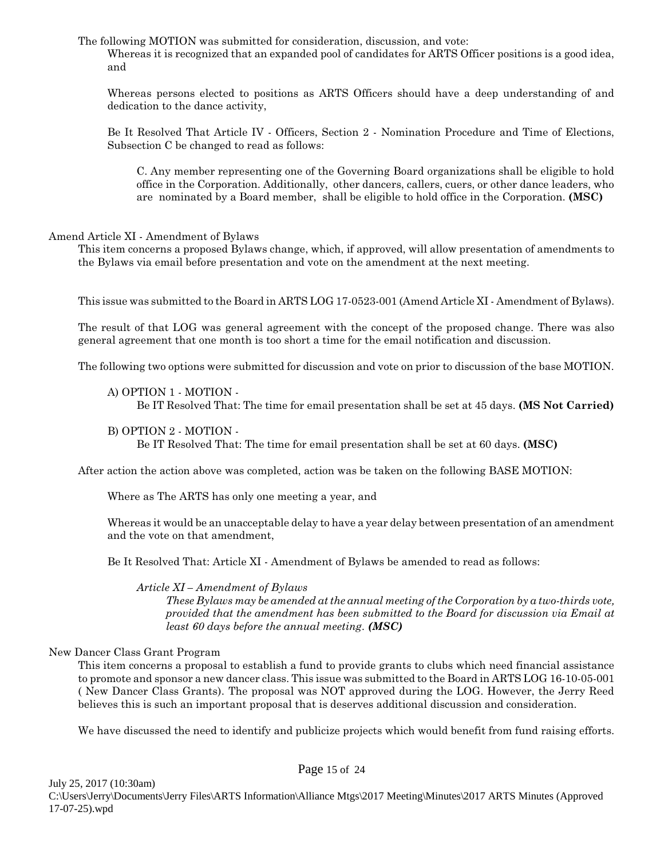The following MOTION was submitted for consideration, discussion, and vote: Whereas it is recognized that an expanded pool of candidates for ARTS Officer positions is a good idea, and

Whereas persons elected to positions as ARTS Officers should have a deep understanding of and dedication to the dance activity,

Be It Resolved That Article IV - Officers, Section 2 - Nomination Procedure and Time of Elections, Subsection C be changed to read as follows:

C. Any member representing one of the Governing Board organizations shall be eligible to hold office in the Corporation. Additionally, other dancers, callers, cuers, or other dance leaders, who are nominated by a Board member, shall be eligible to hold office in the Corporation. **(MSC)**

#### Amend Article XI - Amendment of Bylaws

This item concerns a proposed Bylaws change, which, if approved, will allow presentation of amendments to the Bylaws via email before presentation and vote on the amendment at the next meeting.

This issue was submitted to the Board in ARTS LOG 17-0523-001 (Amend Article XI - Amendment of Bylaws).

The result of that LOG was general agreement with the concept of the proposed change. There was also general agreement that one month is too short a time for the email notification and discussion.

The following two options were submitted for discussion and vote on prior to discussion of the base MOTION.

A) OPTION 1 - MOTION -

Be IT Resolved That: The time for email presentation shall be set at 45 days. **(MS Not Carried)**

B) OPTION 2 - MOTION -

Be IT Resolved That: The time for email presentation shall be set at 60 days. **(MSC)**

After action the action above was completed, action was be taken on the following BASE MOTION:

Where as The ARTS has only one meeting a year, and

Whereas it would be an unacceptable delay to have a year delay between presentation of an amendment and the vote on that amendment,

Be It Resolved That: Article XI - Amendment of Bylaws be amended to read as follows:

*Article XI – Amendment of Bylaws*

*These Bylaws may be amended at the annual meeting of the Corporation by a two-thirds vote, provided that the amendment has been submitted to the Board for discussion via Email at least 60 days before the annual meeting. (MSC)*

#### New Dancer Class Grant Program

This item concerns a proposal to establish a fund to provide grants to clubs which need financial assistance to promote and sponsor a new dancer class. This issue was submitted to the Board in ARTS LOG 16-10-05-001 ( New Dancer Class Grants). The proposal was NOT approved during the LOG. However, the Jerry Reed believes this is such an important proposal that is deserves additional discussion and consideration.

We have discussed the need to identify and publicize projects which would benefit from fund raising efforts.

July 25, 2017 (10:30am)

#### Page 15 of 24

C:\Users\Jerry\Documents\Jerry Files\ARTS Information\Alliance Mtgs\2017 Meeting\Minutes\2017 ARTS Minutes (Approved 17-07-25).wpd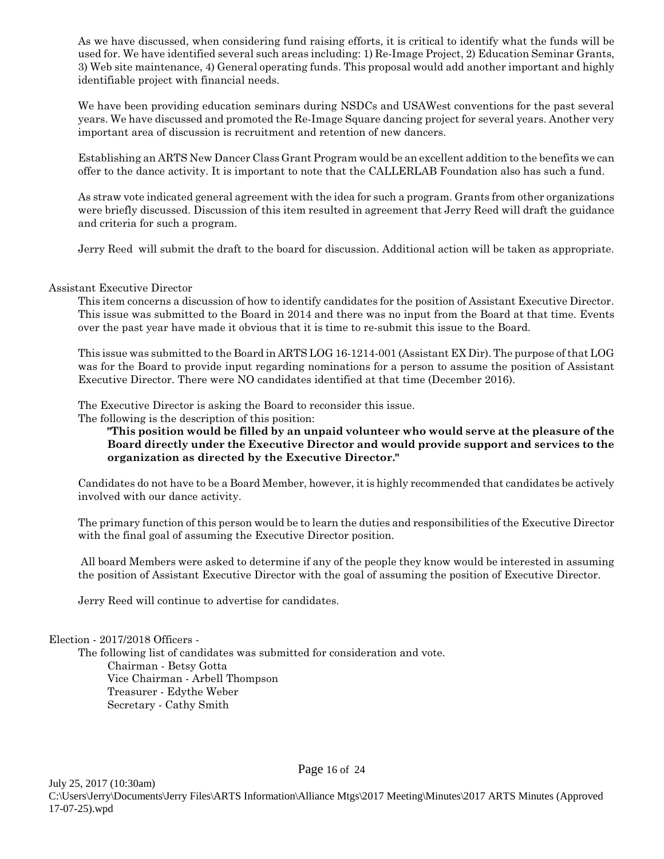As we have discussed, when considering fund raising efforts, it is critical to identify what the funds will be used for. We have identified several such areas including: 1) Re-Image Project, 2) Education Seminar Grants, 3) Web site maintenance, 4) General operating funds. This proposal would add another important and highly identifiable project with financial needs.

We have been providing education seminars during NSDCs and USAWest conventions for the past several years. We have discussed and promoted the Re-Image Square dancing project for several years. Another very important area of discussion is recruitment and retention of new dancers.

Establishing an ARTS New Dancer Class Grant Program would be an excellent addition to the benefits we can offer to the dance activity. It is important to note that the CALLERLAB Foundation also has such a fund.

As straw vote indicated general agreement with the idea for such a program. Grants from other organizations were briefly discussed. Discussion of this item resulted in agreement that Jerry Reed will draft the guidance and criteria for such a program.

Jerry Reed will submit the draft to the board for discussion. Additional action will be taken as appropriate.

#### Assistant Executive Director

This item concerns a discussion of how to identify candidates for the position of Assistant Executive Director. This issue was submitted to the Board in 2014 and there was no input from the Board at that time. Events over the past year have made it obvious that it is time to re-submit this issue to the Board.

This issue was submitted to the Board in ARTS LOG 16-1214-001 (Assistant EX Dir). The purpose of that LOG was for the Board to provide input regarding nominations for a person to assume the position of Assistant Executive Director. There were NO candidates identified at that time (December 2016).

The Executive Director is asking the Board to reconsider this issue.

The following is the description of this position:

**"This position would be filled by an unpaid volunteer who would serve at the pleasure of the Board directly under the Executive Director and would provide support and services to the organization as directed by the Executive Director."**

Candidates do not have to be a Board Member, however, it is highly recommended that candidates be actively involved with our dance activity.

The primary function of this person would be to learn the duties and responsibilities of the Executive Director with the final goal of assuming the Executive Director position.

 All board Members were asked to determine if any of the people they know would be interested in assuming the position of Assistant Executive Director with the goal of assuming the position of Executive Director.

Jerry Reed will continue to advertise for candidates.

Election - 2017/2018 Officers -

The following list of candidates was submitted for consideration and vote. Chairman - Betsy Gotta Vice Chairman - Arbell Thompson Treasurer - Edythe Weber Secretary - Cathy Smith

Page 16 of 24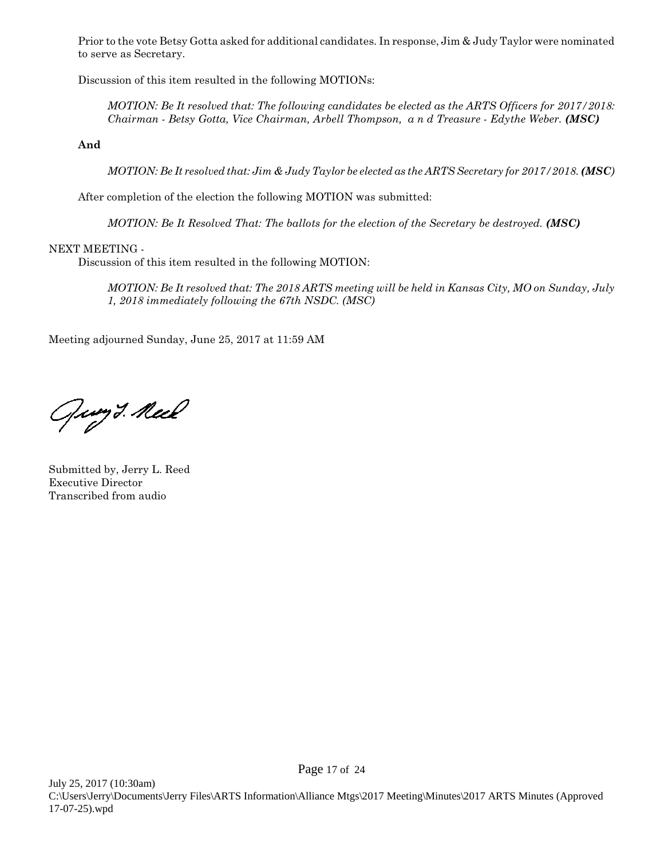Prior to the vote Betsy Gotta asked for additional candidates. In response, Jim & Judy Taylor were nominated to serve as Secretary.

Discussion of this item resulted in the following MOTIONs:

*MOTION: Be It resolved that: The following candidates be elected as the ARTS Officers for 2017/2018: Chairman - Betsy Gotta, Vice Chairman, Arbell Thompson, a n d Treasure - Edythe Weber. (MSC)*

**And**

*MOTION: Be It resolved that: Jim & Judy Taylor be elected as the ARTS Secretary for 2017/2018. (MSC)*

After completion of the election the following MOTION was submitted:

*MOTION: Be It Resolved That: The ballots for the election of the Secretary be destroyed. (MSC)*

#### NEXT MEETING -

Discussion of this item resulted in the following MOTION:

*MOTION: Be It resolved that: The 2018 ARTS meeting will be held in Kansas City, MO on Sunday, July 1, 2018 immediately following the 67th NSDC. (MSC)*

Meeting adjourned Sunday, June 25, 2017 at 11:59 AM

Guy I. Neel

Submitted by, Jerry L. Reed Executive Director Transcribed from audio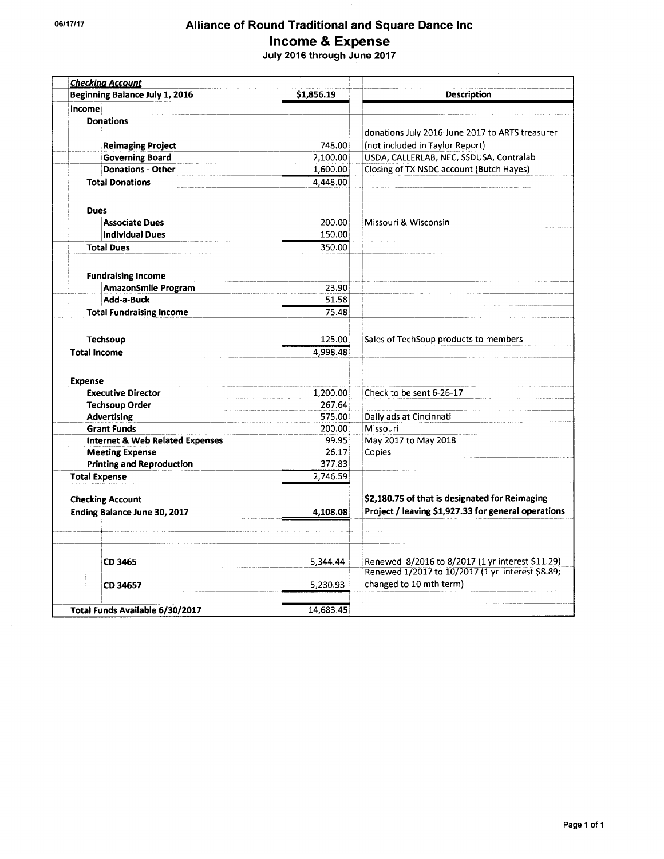## Alliance of Round Traditional and Square Dance Inc Income & Expense<br>July 2016 through June 2017

| <b>Checking Account</b>                     |            |                                                                             |
|---------------------------------------------|------------|-----------------------------------------------------------------------------|
| Beginning Balance July 1, 2016              | \$1,856.19 | <b>Description</b>                                                          |
| Income                                      |            |                                                                             |
| <b>Donations</b>                            |            |                                                                             |
|                                             |            | donations July 2016-June 2017 to ARTS treasurer                             |
| <b>Reimaging Project</b>                    | 748.00     | (not included in Taylor Report)                                             |
| <b>Governing Board</b>                      | 2,100.00   | USDA, CALLERLAB, NEC, SSDUSA, Contralab                                     |
| <b>Donations - Other</b>                    | 1,600.00   | Closing of TX NSDC account (Butch Hayes)                                    |
| <b>Total Donations</b>                      | 4,448.00   |                                                                             |
|                                             |            |                                                                             |
| <b>Dues</b>                                 |            |                                                                             |
| <b>Associate Dues</b>                       | 200.00     | Missouri & Wisconsin                                                        |
| <b>Individual Dues</b>                      | 150.00     |                                                                             |
| <b>Total Dues</b>                           | 350.00     |                                                                             |
| <b>Fundraising Income</b>                   |            |                                                                             |
| <b>AmazonSmile Program</b>                  | 23.90      |                                                                             |
| Add-a-Buck                                  | 51.58      |                                                                             |
| <b>Total Fundraising Income</b>             | 75.48      |                                                                             |
|                                             |            |                                                                             |
| Techsoup                                    | 125.00     | Sales of TechSoup products to members                                       |
| <b>Total Income</b>                         | 4,998.48   |                                                                             |
| <b>Expense</b><br><b>Executive Director</b> | 1,200.00   | Check to be sent 6-26-17                                                    |
| <b>Techsoup Order</b>                       | 267.64     |                                                                             |
| <b>Advertising</b>                          | 575.00     | Daily ads at Cincinnati                                                     |
| <b>Grant Funds</b>                          | 200.00     | Missouri                                                                    |
| <b>Internet &amp; Web Related Expenses</b>  | 99.95      | May 2017 to May 2018                                                        |
| <b>Meeting Expense</b>                      | 26.17      | Copies                                                                      |
| <b>Printing and Reproduction</b>            | 377.83     |                                                                             |
| <b>Total Expense</b>                        | 2,746.59   |                                                                             |
| <b>Checking Account</b>                     |            | \$2,180.75 of that is designated for Reimaging                              |
| Ending Balance June 30, 2017                | 4,108.08   | Project / leaving \$1,927.33 for general operations                         |
|                                             |            |                                                                             |
|                                             |            |                                                                             |
| CD 3465                                     | 5,344.44   | Renewed 8/2016 to 8/2017 (1 yr interest \$11.29)                            |
|                                             | 5,230.93   | Renewed 1/2017 to 10/2017 (1 yr interest \$8.89;<br>changed to 10 mth term) |
| CD 34657                                    |            |                                                                             |
| Total Funds Available 6/30/2017             | 14,683.45  |                                                                             |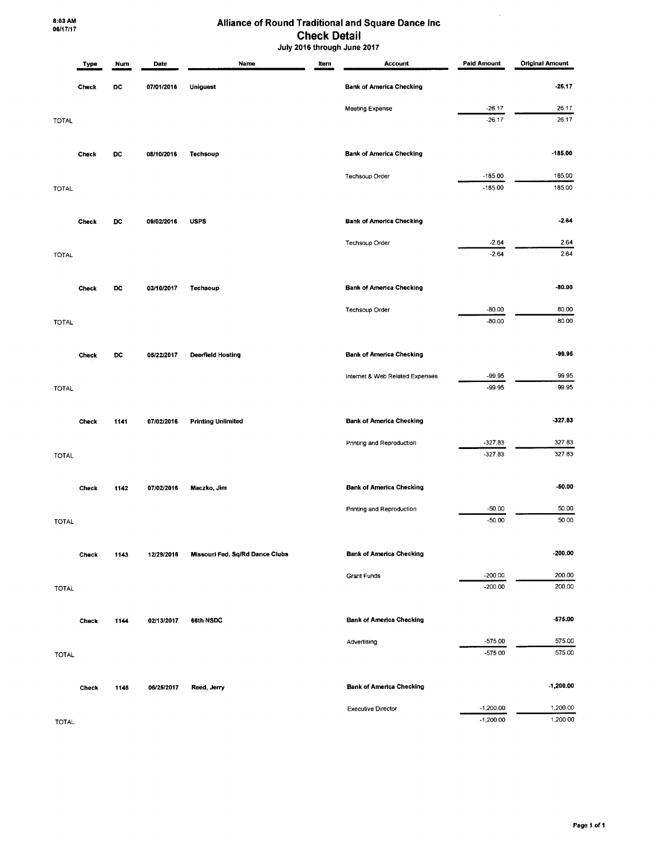#### Alliance of Round Traditional and Square Dance Inc **Check Detail** July 2016 through June 2017

 $\sim$ 

|              | Type         | Num  | Date       | Name                            | Item | <b>Account</b>                  | <b>Paid Amount</b> | <b>Original Amount</b> |
|--------------|--------------|------|------------|---------------------------------|------|---------------------------------|--------------------|------------------------|
|              | Check        | DC   | 07/01/2016 | <b>Uniquest</b>                 |      | <b>Bank of America Checking</b> |                    | $-26.17$               |
|              |              |      |            |                                 |      | <b>Meeting Expense</b>          | $-26.17$           | 26.17                  |
| <b>TOTAL</b> |              |      |            |                                 |      |                                 | $-26.17$           | 26.17                  |
|              | Check        | DC   | 08/10/2016 | Techsoup                        |      | <b>Bank of America Checking</b> |                    | $-185.00$              |
|              |              |      |            |                                 |      | Techsoup Order                  | $-185.00$          | 185.00                 |
| TOTAL        |              |      |            |                                 |      |                                 | $-185.00$          | 185.00                 |
|              | Check        | DC   | 09/02/2016 | <b>USPS</b>                     |      | <b>Bank of America Checking</b> |                    | $-2.64$                |
|              |              |      |            |                                 |      | Techsoup Order                  | $-2.64$            | 2.64                   |
| TOTAL        |              |      |            |                                 |      |                                 | $-2.64$            | 2.64                   |
|              | Check        | DC   | 03/10/2017 | Techsoup                        |      | <b>Bank of America Checking</b> |                    | -80.00                 |
|              |              |      |            |                                 |      | Techsoup Order                  | $-80.00$           | 80.00                  |
| <b>TOTAL</b> |              |      |            |                                 |      |                                 | $-80.00$           | 80.00                  |
|              | <b>Check</b> | DC   | 05/22/2017 | <b>Deerfield Hosting</b>        |      | <b>Bank of America Checking</b> |                    | -99.95                 |
|              |              |      |            |                                 |      | Internet & Web Related Expenses | -99.95             | 99.95                  |
| <b>TOTAL</b> |              |      |            |                                 |      |                                 | -99.95             | 99.95                  |
|              | Check        | 1141 | 07/02/2016 | <b>Printing Unlimited</b>       |      | <b>Bank of America Checking</b> |                    | $-327.83$              |
|              |              |      |            |                                 |      | Printing and Reproduction       | $-327.83$          | 327.83                 |
| <b>TOTAL</b> |              |      |            |                                 |      |                                 | $-327.83$          | 327.83                 |
|              | Check        | 1142 | 07/02/2016 | Maczko, Jim                     |      | <b>Bank of America Checking</b> |                    | $-50.00$               |
|              |              |      |            |                                 |      | Printing and Reproduction       | $-50.00$           | 50.00                  |
| <b>TOTAL</b> |              |      |            |                                 |      |                                 | $-50.00$           | 50.00                  |
|              | Check        | 1143 | 12/29/2016 | Missouri Fed. Sq/Rd Dance Clubs |      | <b>Bank of America Checking</b> |                    | $-200.00$              |
|              |              |      |            |                                 |      | <b>Grant Funds</b>              | $-200.00$          | 200.00                 |
| <b>TOTAL</b> |              |      |            |                                 |      |                                 | $-200.00$          | 200.00                 |
|              | <b>Check</b> | 1144 | 02/13/2017 | 66th NSDC                       |      | <b>Bank of America Checking</b> |                    | $-575.00$              |
|              |              |      |            |                                 |      | Advertising                     | $-575.00$          | 575.00                 |
| <b>TOTAL</b> |              |      |            |                                 |      |                                 | $-575.00$          | 575.00                 |
|              | Check        | 1145 | 06/25/2017 | Reed, Jerry                     |      | <b>Bank of America Checking</b> |                    | -1,200.00              |
|              |              |      |            |                                 |      | <b>Executive Director</b>       | $-1,200.00$        | 1,200.00               |
| <b>TOTAL</b> |              |      |            |                                 |      |                                 | $-1,200.00$        | 1,200.00               |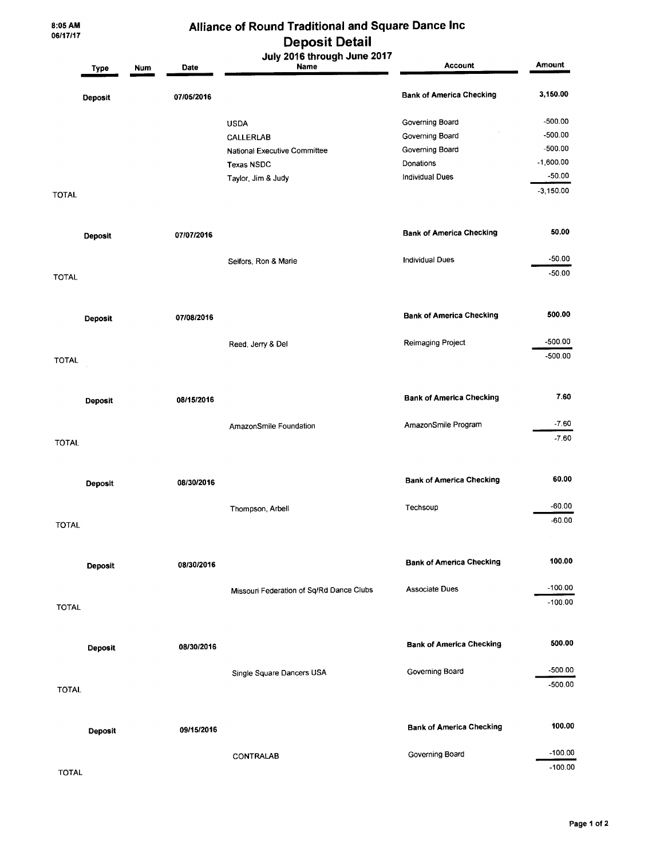8:05 AM<br>06/17/17

## Alliance of Round Traditional and Square Dance Inc **Deposit Detail**

|              | <b>Type</b>    | Num | Date       | July 2016 through June 2017<br>Name      | Account                         | Amount      |
|--------------|----------------|-----|------------|------------------------------------------|---------------------------------|-------------|
|              | <b>Deposit</b> |     | 07/05/2016 |                                          | <b>Bank of America Checking</b> | 3,150.00    |
|              |                |     |            | <b>USDA</b>                              | Governing Board                 | $-500.00$   |
|              |                |     |            | CALLERLAB                                | Governing Board                 | $-500.00$   |
|              |                |     |            | National Executive Committee             | Governing Board                 | $-500.00$   |
|              |                |     |            | <b>Texas NSDC</b>                        | Donations                       | $-1,600.00$ |
|              |                |     |            | Taylor, Jim & Judy                       | Individual Dues                 | $-50.00$    |
| TOTAL        |                |     |            |                                          |                                 | $-3,150.00$ |
|              | <b>Deposit</b> |     | 07/07/2016 |                                          | <b>Bank of America Checking</b> | 50.00       |
|              |                |     |            |                                          |                                 | $-50.00$    |
|              |                |     |            | Selfors, Ron & Marie                     | <b>Individual Dues</b>          | $-50.00$    |
| TOTAL        |                |     |            |                                          |                                 |             |
|              | <b>Deposit</b> |     | 07/08/2016 |                                          | <b>Bank of America Checking</b> | 500.00      |
|              |                |     |            | Reed, Jerry & Del                        | Reimaging Project               | $-500.00$   |
| <b>TOTAL</b> |                |     |            |                                          |                                 | $-500.00$   |
|              |                |     |            |                                          |                                 |             |
|              | <b>Deposit</b> |     | 08/15/2016 |                                          | <b>Bank of America Checking</b> | 7.60        |
|              |                |     |            | AmazonSmile Foundation                   | AmazonSmile Program             | $-7.60$     |
| <b>TOTAL</b> |                |     |            |                                          |                                 | $-7.60$     |
|              | Deposit        |     | 08/30/2016 |                                          | <b>Bank of America Checking</b> | 60.00       |
|              |                |     |            |                                          |                                 |             |
|              |                |     |            | Thompson, Arbell                         | Techsoup                        | $-60.00$    |
| <b>TOTAL</b> |                |     |            |                                          |                                 | $-60.00$    |
|              |                |     |            |                                          |                                 |             |
|              | Deposit        |     | 08/30/2016 |                                          | <b>Bank of America Checking</b> | 100.00      |
|              |                |     |            |                                          | <b>Associate Dues</b>           | $-100.00$   |
|              |                |     |            | Missouri Federation of Sq/Rd Dance Clubs |                                 | $-100.00$   |
| <b>TOTAL</b> |                |     |            |                                          |                                 |             |
|              | <b>Deposit</b> |     | 08/30/2016 |                                          | <b>Bank of America Checking</b> | 500.00      |
|              |                |     |            |                                          |                                 | $-500.00$   |
|              |                |     |            | Single Square Dancers USA                | Governing Board                 | $-500.00$   |
| <b>TOTAL</b> |                |     |            |                                          |                                 |             |
|              | <b>Deposit</b> |     | 09/15/2016 |                                          | <b>Bank of America Checking</b> | 100.00      |
|              |                |     |            |                                          | Governing Board                 | $-100.00$   |
|              |                |     |            | CONTRALAB                                |                                 | $-100.00$   |
| <b>TOTAL</b> |                |     |            |                                          |                                 |             |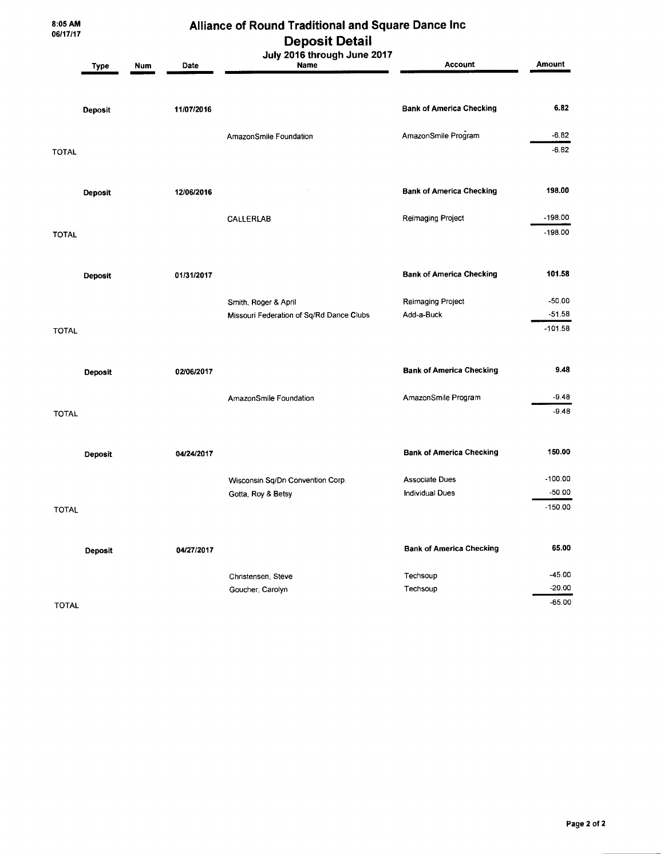8:05 AM<br>06/17/17

## Alliance of Round Traditional and Square Dance Inc **Deposit Detail**

|              | Type           | <b>Num</b><br>Date | Deposit Detail<br>July 2016 through June 2017<br><b>Name</b> | <b>Account</b>                  | <b>Amount</b>          |
|--------------|----------------|--------------------|--------------------------------------------------------------|---------------------------------|------------------------|
|              | <b>Deposit</b> | 11/07/2016         |                                                              | <b>Bank of America Checking</b> | 6.82                   |
| <b>TOTAL</b> |                |                    | AmazonSmile Foundation                                       | AmazonSmile Program             | $-6.82$<br>$-6.82$     |
|              | <b>Deposit</b> | 12/06/2016         |                                                              | <b>Bank of America Checking</b> | 198.00                 |
| <b>TOTAL</b> |                |                    | CALLERLAB                                                    | Reimaging Project               | $-198.00$<br>$-198.00$ |
|              | Deposit        | 01/31/2017         |                                                              | <b>Bank of America Checking</b> | 101.58                 |
|              |                |                    | Smith, Roger & April                                         | Reimaging Project               | $-50.00$               |
|              |                |                    | Missouri Federation of Sq/Rd Dance Clubs                     | Add-a-Buck                      | $-51.58$               |
| <b>TOTAL</b> |                |                    |                                                              |                                 | $-101.58$              |
|              | <b>Deposit</b> | 02/06/2017         |                                                              | <b>Bank of America Checking</b> | 9.48                   |
|              |                |                    | AmazonSmile Foundation                                       | AmazonSmile Program             | $-9.48$                |
| <b>TOTAL</b> |                |                    |                                                              |                                 | $-9.48$                |
|              | <b>Deposit</b> | 04/24/2017         |                                                              | <b>Bank of America Checking</b> | 150.00                 |
|              |                |                    | Wisconsin Sq/Dn Convention Corp.                             | <b>Associate Dues</b>           | $-100.00$              |
|              |                |                    | Gotta, Roy & Betsy                                           | <b>Individual Dues</b>          | $-50.00$               |
| <b>TOTAL</b> |                |                    |                                                              |                                 | $-150.00$              |
|              | <b>Deposit</b> | 04/27/2017         |                                                              | <b>Bank of America Checking</b> | 65.00                  |
|              |                |                    | Christensen, Steve                                           | Techsoup                        | $-45.00$               |
|              |                |                    | Goucher, Carolyn                                             | Techsoup                        | $-20.00$               |
| <b>TOTAL</b> |                |                    |                                                              |                                 | $-65.00$               |

**TOTAL**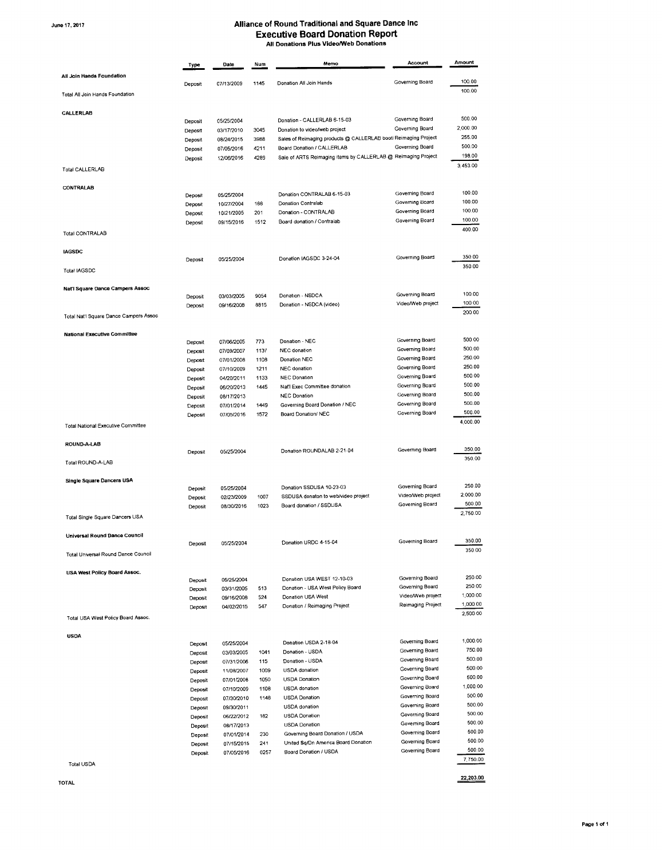June 17, 2017

## Alliance of Round Traditional and Square Dance Inc Executive Board Donation Report

|                                        | Type               | Date                     | Num          | Memo                                                                                        | Account                                | Amount             |
|----------------------------------------|--------------------|--------------------------|--------------|---------------------------------------------------------------------------------------------|----------------------------------------|--------------------|
| All Join Hands Foundation              | Deposit            | 07/13/2009               | 1145         | Donation All Join Hands                                                                     | Governing Board                        | 100.00             |
| Total All Join Hands Foundation        |                    |                          |              |                                                                                             |                                        | 100.00             |
| CALLERLAB                              |                    |                          |              |                                                                                             |                                        |                    |
|                                        | Deposit            | 05/25/2004               |              | Donation - CALLERLAB 6-15-03                                                                | Governing Board                        | 500.00             |
|                                        | Deposit            | 03/17/2010               | 3045         | Donation to video/web project                                                               | Governing Board                        | 2,000.00           |
|                                        | Deposit            | 08/24/2015               | 3988         | Sales of Reimaging products @ CALLERLAB bootl Reimaging Project                             |                                        | 255.00<br>500.00   |
|                                        | Deposit            | 07/05/2016               | 4211         | Board Donation / CALLERLAB<br>Sale of ARTS Reimaging items by CALLERLAB @ Reimaging Project | Governing Board                        | 198.00             |
| Total CALLERLAB                        | Deposit            | 12/06/2016               | 4289         |                                                                                             |                                        | 3,453.00           |
|                                        |                    |                          |              |                                                                                             |                                        |                    |
| CONTRALAB                              | Deposit            | 05/25/2004               |              | Donation CONTRALAB 6-15-03                                                                  | Governing Board                        | 100.00             |
|                                        | Deposit            | 10/27/2004               | 188          | Donation Contralab                                                                          | Governing Board                        | 100.00             |
|                                        | Deposit            | 10/21/2005               | 201          | Donation - CONTRALAB                                                                        | Governing Board                        | 100.00             |
|                                        | Deposit            | 09/15/2016               | 1512         | Board donation / Contralab                                                                  | Governing Board                        | 100.00             |
| Total CONTRALAB                        |                    |                          |              |                                                                                             |                                        | 400.00             |
| <b>IAGSDC</b>                          |                    |                          |              |                                                                                             |                                        | 350.00             |
| Total IAGSDC                           | Deposit            | 05/25/2004               |              | Donation IAGSDC 3-24-04                                                                     | Governing Board                        | 350.00             |
|                                        |                    |                          |              |                                                                                             |                                        |                    |
| Nat'l Square Dance Campers Assoc       | Deposit            | 03/03/2005               | 9054         | Donation - NSDCA                                                                            | Governing Board                        | 100.00             |
|                                        | Deposit            | 09/16/2008               | 8815         | Donation - NSDCA (video)                                                                    | Video/Web project                      | 100.00             |
| Total Nat'l Square Dance Campers Assoc |                    |                          |              |                                                                                             |                                        | 200.00             |
| <b>National Executive Committee</b>    |                    |                          |              |                                                                                             |                                        |                    |
|                                        | Deposit            | 07/06/2005               | 773          | Donation - NEC                                                                              | Governing Board                        | 500.00             |
|                                        | Deposit            | 07/09/2007               | 1137         | <b>NEC</b> donation                                                                         | Governing Board                        | 500.00             |
|                                        | Deposit            | 07/01/2008               | 1108         | Donation NEC                                                                                | Governing Board                        | 250.00             |
|                                        | Deposit            | 07/10/2009               | 1211         | NEC donation                                                                                | Governing Board<br>Governing Board     | 250.00<br>500.00   |
|                                        | Deposit            | 04/20/2011               | 1133<br>1445 | <b>NEC Donation</b><br>Nat'l Exec Committee donation                                        | Governing Board                        | 500.00             |
|                                        | Deposit            | 06/20/2013<br>08/17/2013 |              | <b>NEC Donation</b>                                                                         | Governing Board                        | 500.00             |
|                                        | Deposit<br>Deposit | 07/01/2014               | 1449         | Governing Board Donation / NEC                                                              | Governing Board                        | 500.00             |
|                                        | Deposit            | 07/05/2016               | 1572         | Board Donation/ NEC                                                                         | Governing Board                        | 500.00             |
| Total National Executive Committee     |                    |                          |              |                                                                                             |                                        | 4,000.00           |
| ROUND-A-LAB                            |                    |                          |              |                                                                                             |                                        |                    |
|                                        | Deposit            | 05/25/2004               |              | Donation ROUNDALAB 2-21-04                                                                  | Governing Board                        | 350.00             |
| Total ROUND-A-LAB                      |                    |                          |              |                                                                                             |                                        | 350.00             |
| Single Square Dancers USA              |                    |                          |              |                                                                                             |                                        |                    |
|                                        | Deposit            | 05/25/2004               |              | Donation SSDUSA 10-23-03                                                                    | Governing Board                        | 250.00             |
|                                        | Deposit            | 02/23/2009               | 1007         | SSDUSA donaton to web/video project                                                         | Video/Web project                      | 2,000.00           |
| Total Single Square Dancers USA        | Deposit            | 08/30/2016               | 1023         | Board donation / SSDUSA                                                                     | Governing Board                        | 500.00<br>2,750.00 |
|                                        |                    |                          |              |                                                                                             |                                        |                    |
| Universal Round Dance Council          | Deposit            | 05/25/2004               |              | Donation URDC 4-15-04                                                                       | Governing Board                        | 350.00             |
| Total Universal Round Dance Council    |                    |                          |              |                                                                                             |                                        | 350.00             |
| <b>USA West Policy Board Assoc.</b>    |                    |                          |              |                                                                                             |                                        |                    |
|                                        | Deposit            | 05/25/2004               |              | Donation USA WEST 12-10-03                                                                  | Governing Board                        | 250.00<br>250.00   |
|                                        | Deposit            | 03/31/2005               | 513          | Donation - USA West Policy Board                                                            | Governing Board                        | 1,000.00           |
|                                        | Deposit            | 09/16/2008               | 524          | Donation USA West<br>Donation / Reimaging Project                                           | Video/Web project<br>Reimaging Project | 1,000.00           |
| Total USA West Policy Board Assoc.     | Deposit            | 04/02/2015               | 547          |                                                                                             |                                        | 2,500.00           |
|                                        |                    |                          |              |                                                                                             |                                        |                    |
| <b>USDA</b>                            | Deposit            | 05/25/2004               |              | Donation USDA 2-18-04                                                                       | Governing Board                        | 1,000.00           |
|                                        | Deposit            | 03/03/2005               | 1041         | Donation - USDA                                                                             | Governing Board                        | 750.00<br>500.00   |
|                                        | Deposit            | 07/31/2006               | 115          | Donation - USDA                                                                             | Governing Board<br>Governing Board     | 500.00             |
|                                        | Deposit            | 11/08/2007               | 1009         | <b>USDA</b> donation                                                                        | Governing Board                        | 500.00             |
|                                        | Deposit            | 07/01/2006               | 1050<br>1108 | <b>USDA</b> Donation<br>USDA donation                                                       | Governing Board                        | 1,000.00           |
|                                        | Deposit            | 07/10/2009<br>07/30/2010 | 1148         | <b>USDA</b> Donation                                                                        | Governing Board                        | 500.00             |
|                                        | Deposit<br>Deposit | 09/30/2011               |              | USDA donation                                                                               | Governing Board                        | 500.00             |
|                                        | Deposit            | 06/22/2012               | 182          | <b>USDA</b> Donation                                                                        | Governing Board                        | 500.00             |
|                                        | Deposit            | 08/17/2013               |              | <b>USDA Donation</b>                                                                        | Governing Board                        | 500.00             |
|                                        | Deposit            | 07/01/2014               | 230          | Governing Board Donation / USDA                                                             | Governing Board                        | 500.00             |
|                                        | Deposit            | 07/15/2015               | 241          | United Sq/Dn America Board Donation                                                         | Governing Board                        | 500.00             |
|                                        | Deposit            | 07/05/2016               | 0257         | Board Donation / USDA                                                                       | Governing Board                        | 500.00             |
| <b>Total USDA</b>                      |                    |                          |              |                                                                                             |                                        | 7,750.00           |

**TOTAL** 

Page 1 of 1

 $22,203.00$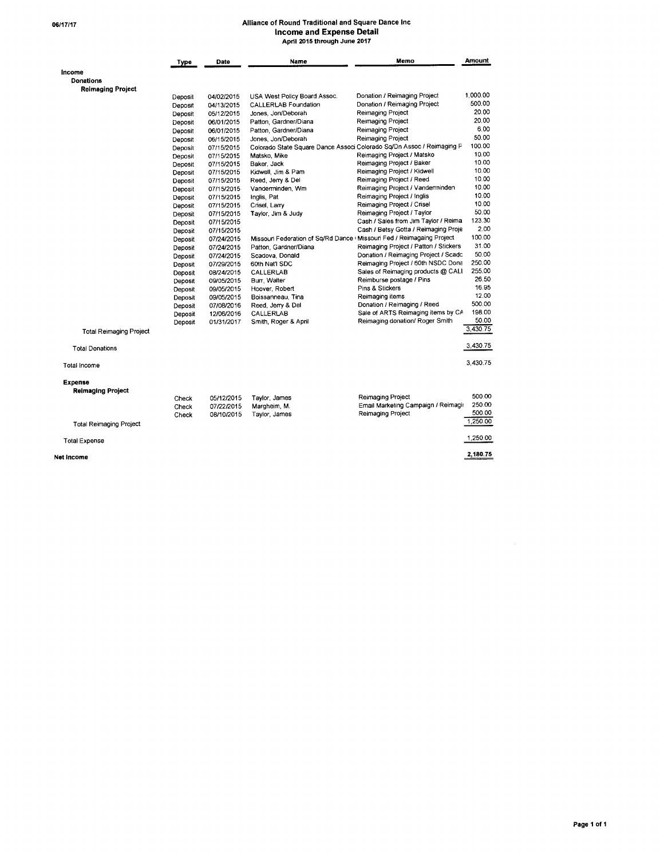# Alliance of Round Traditional and Square Dance Inc<br>Income and Expense Detail<br>April 2015 through June 2017

|                                | Type    | Date       | Name                         | Memo                                                                   | <b>Amount</b> |
|--------------------------------|---------|------------|------------------------------|------------------------------------------------------------------------|---------------|
| Income                         |         |            |                              |                                                                        |               |
| Donations                      |         |            |                              |                                                                        |               |
| <b>Reimaging Project</b>       |         |            |                              |                                                                        |               |
|                                | Deposit | 04/02/2015 | USA West Policy Board Assoc. | Donation / Reimaging Project                                           | 1.000.00      |
|                                | Deposit | 04/13/2015 | <b>CALLERLAB Foundation</b>  | Donation / Reimaging Project                                           | 500.00        |
|                                | Deposit | 05/12/2015 | Jones, Jon/Deborah           | Reimaging Project                                                      | 20.00         |
|                                | Deposit | 06/01/2015 | Patton, Gardner/Diana        | Reimaging Project                                                      | 20.00         |
|                                | Deposit | 06/01/2015 | Patton, Gardner/Diana        | Reimaging Project                                                      | 6.00          |
|                                | Deposit | 06/15/2015 | Jones, Jon/Deborah           | Reimaging Project                                                      | 50.00         |
|                                | Deposit | 07/15/2015 |                              | Colorado State Square Dance Associ Colorado Sq/Dn Assoc / Reimaging P  | 100.00        |
|                                | Deposit | 07/15/2015 | Matsko, Mike                 | Reimaging Project / Matsko                                             | 10.00         |
|                                | Deposit | 07/15/2015 | Baker, Jack                  | Reimaging Project / Baker                                              | 10.00         |
|                                | Deposit | 07/15/2015 | Kidwell, Jim & Pam           | Reimaging Project / Kidwell                                            | 10.00         |
|                                | Deposit | 07/15/2015 | Reed, Jerry & Del            | Reimaging Project / Reed                                               | 10.00         |
|                                | Deposit | 07/15/2015 | Vanderminden, Wm             | Reimaging Project / Vanderminden                                       | 10.00         |
|                                | Deposit | 07/15/2015 | Inglis, Pat                  | Reimaging Project / Inglis                                             | 10.00         |
|                                | Deposit | 07/15/2015 | Crisel, Larry                | Reimaging Project / Crisel                                             | 10.00         |
|                                | Deposit | 07/15/2015 | Taylor, Jim & Judy           | Reimaging Project / Taylor                                             | 50.00         |
|                                | Deposit | 07/15/2015 |                              | Cash / Sales from Jim Taylor / Reima                                   | 123.30        |
|                                | Deposit | 07/15/2015 |                              | Cash / Betsy Gotta / Reimaging Proje                                   | 2.00          |
|                                | Deposit | 07/24/2015 |                              | Missouri Federation of Sq/Rd Dance I Missouri Fed / Reimagaing Project | 100.00        |
|                                | Deposit | 07/24/2015 | Patton, Gardner/Diana        | Reimaging Project / Patton / Stickers                                  | 31.00         |
|                                |         | 07/24/2015 | Scadova, Donald              | Donation / Reimaging Project / Scadc                                   | 50.00         |
|                                | Deposit | 07/29/2015 | 60th Nat'l SDC               | Reimaging Project / 60th NSDC Dona                                     | 250.00        |
|                                | Deposit |            | CALLERLAB                    | Sales of Reimaging products @ CALI                                     | 255.00        |
|                                | Deposit | 08/24/2015 |                              | Reimburse postage / Pins                                               | 26.50         |
|                                | Deposit | 09/05/2015 | Burr, Walter                 | Pins & Stickers                                                        | 16.95         |
|                                | Deposit | 09/05/2015 | Hoover, Robert               | Reimaging items                                                        | 12.00         |
|                                | Deposit | 09/05/2015 | Boissanneau, Tina            | Donation / Reimaging / Reed                                            | 500.00        |
|                                | Deposit | 07/08/2016 | Reed, Jerry & Del            | Sale of ARTS Reimaging items by CA                                     | 198.00        |
|                                | Deposit | 12/06/2016 | CALLERLAB                    |                                                                        | 50.00         |
|                                | Deposit | 01/31/2017 | Smith, Roger & April         | Reimaging donation/ Roger Smith                                        |               |
| <b>Total Reimaging Project</b> |         |            |                              |                                                                        | 3,430.75      |
| <b>Total Donations</b>         |         |            |                              |                                                                        | 3.430.75      |
| Total income                   |         |            |                              |                                                                        | 3.430.75      |
| Expense                        |         |            |                              |                                                                        |               |
| <b>Reimaging Project</b>       |         |            |                              |                                                                        |               |
|                                | Check   | 05/12/2015 | Taylor, James                | Reimaging Project                                                      | 500.00        |
|                                | Check   | 07/22/2015 | Margheim, M.                 | Email Marketing Campaign / Reimagir                                    | 250.00        |
|                                | Check   | 08/10/2015 | Taylor, James                | Reimaging Project                                                      | 500.00        |
| <b>Total Reimaging Project</b> |         |            |                              |                                                                        | 1,250.00      |
| <b>Total Expense</b>           |         |            |                              |                                                                        | 1,250.00      |
| Net income                     |         |            |                              |                                                                        | 2,180.75      |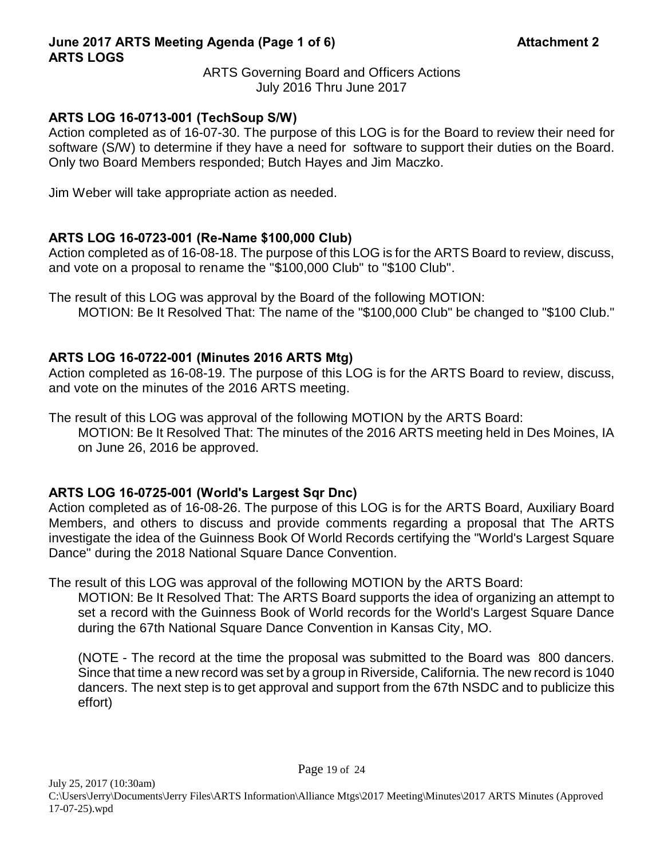## **June 2017 ARTS Meeting Agenda (Page 1 of 6) Attachment 2 ARTS LOGS**

ARTS Governing Board and Officers Actions July 2016 Thru June 2017

## **ARTS LOG 16-0713-001 (TechSoup S/W)**

Action completed as of 16-07-30. The purpose of this LOG is for the Board to review their need for software (S/W) to determine if they have a need for software to support their duties on the Board. Only two Board Members responded; Butch Hayes and Jim Maczko.

Jim Weber will take appropriate action as needed.

## **ARTS LOG 16-0723-001 (Re-Name \$100,000 Club)**

Action completed as of 16-08-18. The purpose of this LOG is for the ARTS Board to review, discuss, and vote on a proposal to rename the "\$100,000 Club" to "\$100 Club".

The result of this LOG was approval by the Board of the following MOTION: MOTION: Be It Resolved That: The name of the "\$100,000 Club" be changed to "\$100 Club."

## **ARTS LOG 16-0722-001 (Minutes 2016 ARTS Mtg)**

Action completed as 16-08-19. The purpose of this LOG is for the ARTS Board to review, discuss, and vote on the minutes of the 2016 ARTS meeting.

The result of this LOG was approval of the following MOTION by the ARTS Board: MOTION: Be It Resolved That: The minutes of the 2016 ARTS meeting held in Des Moines, IA on June 26, 2016 be approved.

## **ARTS LOG 16-0725-001 (World's Largest Sqr Dnc)**

Action completed as of 16-08-26. The purpose of this LOG is for the ARTS Board, Auxiliary Board Members, and others to discuss and provide comments regarding a proposal that The ARTS investigate the idea of the Guinness Book Of World Records certifying the "World's Largest Square Dance" during the 2018 National Square Dance Convention.

The result of this LOG was approval of the following MOTION by the ARTS Board:

MOTION: Be It Resolved That: The ARTS Board supports the idea of organizing an attempt to set a record with the Guinness Book of World records for the World's Largest Square Dance during the 67th National Square Dance Convention in Kansas City, MO.

(NOTE - The record at the time the proposal was submitted to the Board was 800 dancers. Since that time a new record was set by a group in Riverside, California. The new record is 1040 dancers. The next step is to get approval and support from the 67th NSDC and to publicize this effort)

Page 19 of 24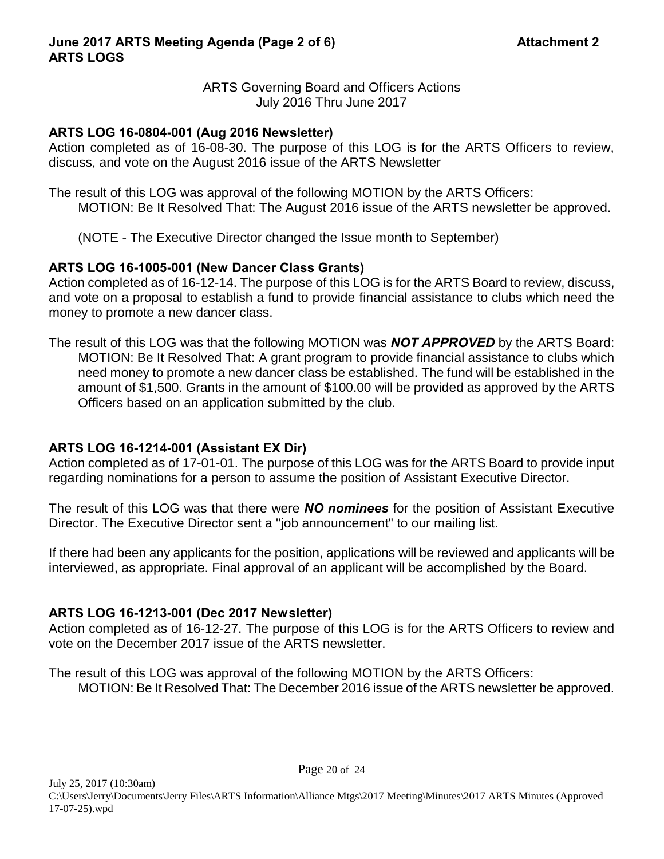## **ARTS LOG 16-0804-001 (Aug 2016 Newsletter)**

Action completed as of 16-08-30. The purpose of this LOG is for the ARTS Officers to review, discuss, and vote on the August 2016 issue of the ARTS Newsletter

The result of this LOG was approval of the following MOTION by the ARTS Officers: MOTION: Be It Resolved That: The August 2016 issue of the ARTS newsletter be approved.

(NOTE - The Executive Director changed the Issue month to September)

## **ARTS LOG 16-1005-001 (New Dancer Class Grants)**

Action completed as of 16-12-14. The purpose of this LOG is for the ARTS Board to review, discuss, and vote on a proposal to establish a fund to provide financial assistance to clubs which need the money to promote a new dancer class.

The result of this LOG was that the following MOTION was *NOT APPROVED* by the ARTS Board: MOTION: Be It Resolved That: A grant program to provide financial assistance to clubs which need money to promote a new dancer class be established. The fund will be established in the amount of \$1,500. Grants in the amount of \$100.00 will be provided as approved by the ARTS Officers based on an application submitted by the club.

## **ARTS LOG 16-1214-001 (Assistant EX Dir)**

Action completed as of 17-01-01. The purpose of this LOG was for the ARTS Board to provide input regarding nominations for a person to assume the position of Assistant Executive Director.

The result of this LOG was that there were *NO nominees* for the position of Assistant Executive Director. The Executive Director sent a "job announcement" to our mailing list.

If there had been any applicants for the position, applications will be reviewed and applicants will be interviewed, as appropriate. Final approval of an applicant will be accomplished by the Board.

## **ARTS LOG 16-1213-001 (Dec 2017 Newsletter)**

Action completed as of 16-12-27. The purpose of this LOG is for the ARTS Officers to review and vote on the December 2017 issue of the ARTS newsletter.

The result of this LOG was approval of the following MOTION by the ARTS Officers: MOTION: Be It Resolved That: The December 2016 issue of the ARTS newsletter be approved.

Page 20 of 24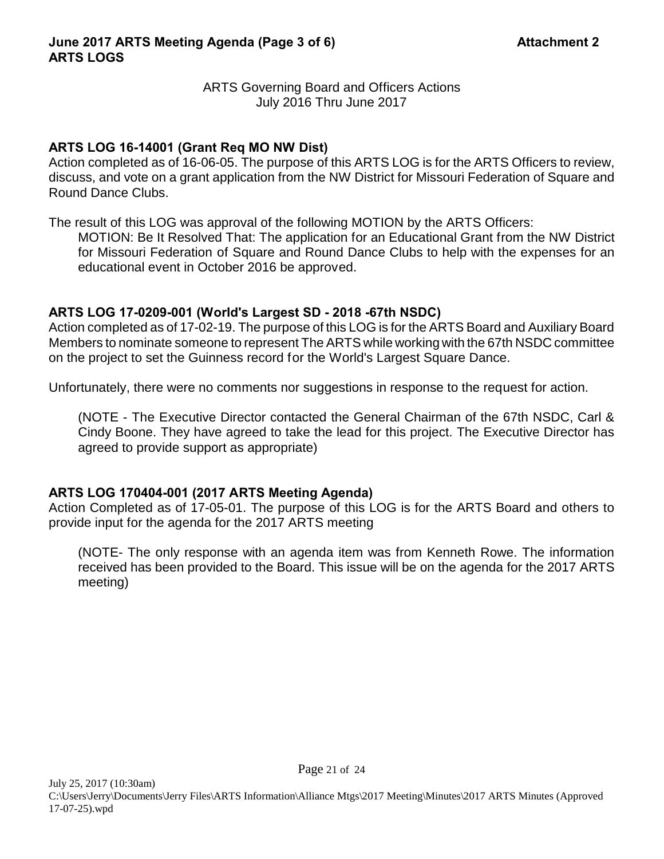## **ARTS LOG 16-14001 (Grant Req MO NW Dist)**

Action completed as of 16-06-05. The purpose of this ARTS LOG is for the ARTS Officers to review, discuss, and vote on a grant application from the NW District for Missouri Federation of Square and Round Dance Clubs.

The result of this LOG was approval of the following MOTION by the ARTS Officers:

MOTION: Be It Resolved That: The application for an Educational Grant from the NW District for Missouri Federation of Square and Round Dance Clubs to help with the expenses for an educational event in October 2016 be approved.

## **ARTS LOG 17-0209-001 (World's Largest SD - 2018 -67th NSDC)**

Action completed as of 17-02-19. The purpose of this LOG is for the ARTS Board and Auxiliary Board Members to nominate someone to represent The ARTS while working with the 67th NSDC committee on the project to set the Guinness record for the World's Largest Square Dance.

Unfortunately, there were no comments nor suggestions in response to the request for action.

(NOTE - The Executive Director contacted the General Chairman of the 67th NSDC, Carl & Cindy Boone. They have agreed to take the lead for this project. The Executive Director has agreed to provide support as appropriate)

## **ARTS LOG 170404-001 (2017 ARTS Meeting Agenda)**

Action Completed as of 17-05-01. The purpose of this LOG is for the ARTS Board and others to provide input for the agenda for the 2017 ARTS meeting

(NOTE- The only response with an agenda item was from Kenneth Rowe. The information received has been provided to the Board. This issue will be on the agenda for the 2017 ARTS meeting)

Page 21 of 24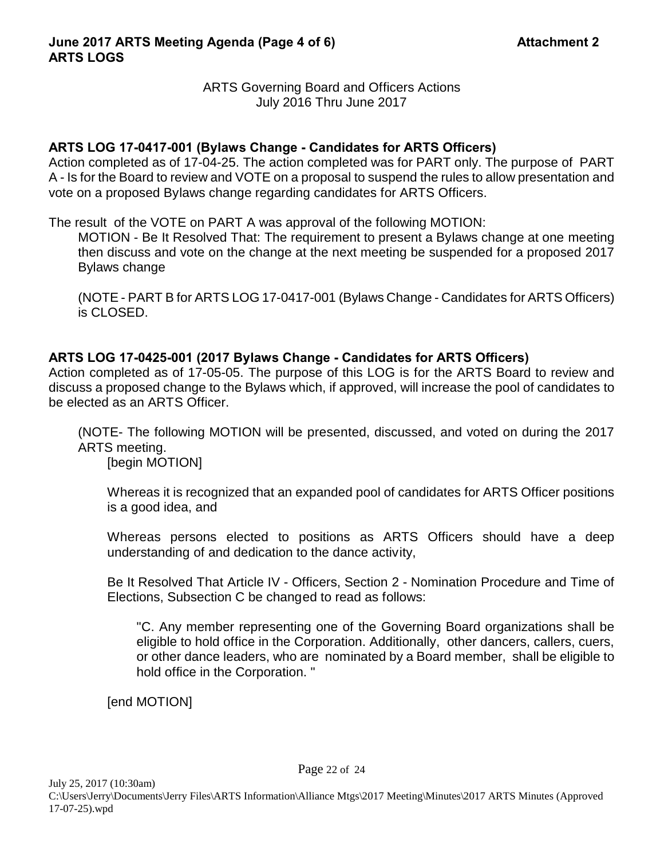## **ARTS LOG 17-0417-001 (Bylaws Change - Candidates for ARTS Officers)**

Action completed as of 17-04-25. The action completed was for PART only. The purpose of PART A - Is for the Board to review and VOTE on a proposal to suspend the rules to allow presentation and vote on a proposed Bylaws change regarding candidates for ARTS Officers.

The result of the VOTE on PART A was approval of the following MOTION:

MOTION - Be It Resolved That: The requirement to present a Bylaws change at one meeting then discuss and vote on the change at the next meeting be suspended for a proposed 2017 Bylaws change

(NOTE - PART B for ARTS LOG 17-0417-001 (Bylaws Change - Candidates for ARTS Officers) is CLOSED.

## **ARTS LOG 17-0425-001 (2017 Bylaws Change - Candidates for ARTS Officers)**

Action completed as of 17-05-05. The purpose of this LOG is for the ARTS Board to review and discuss a proposed change to the Bylaws which, if approved, will increase the pool of candidates to be elected as an ARTS Officer.

(NOTE- The following MOTION will be presented, discussed, and voted on during the 2017 ARTS meeting.

[begin MOTION]

Whereas it is recognized that an expanded pool of candidates for ARTS Officer positions is a good idea, and

Whereas persons elected to positions as ARTS Officers should have a deep understanding of and dedication to the dance activity,

Be It Resolved That Article IV - Officers, Section 2 - Nomination Procedure and Time of Elections, Subsection C be changed to read as follows:

"C. Any member representing one of the Governing Board organizations shall be eligible to hold office in the Corporation. Additionally, other dancers, callers, cuers, or other dance leaders, who are nominated by a Board member, shall be eligible to hold office in the Corporation. "

[end MOTION]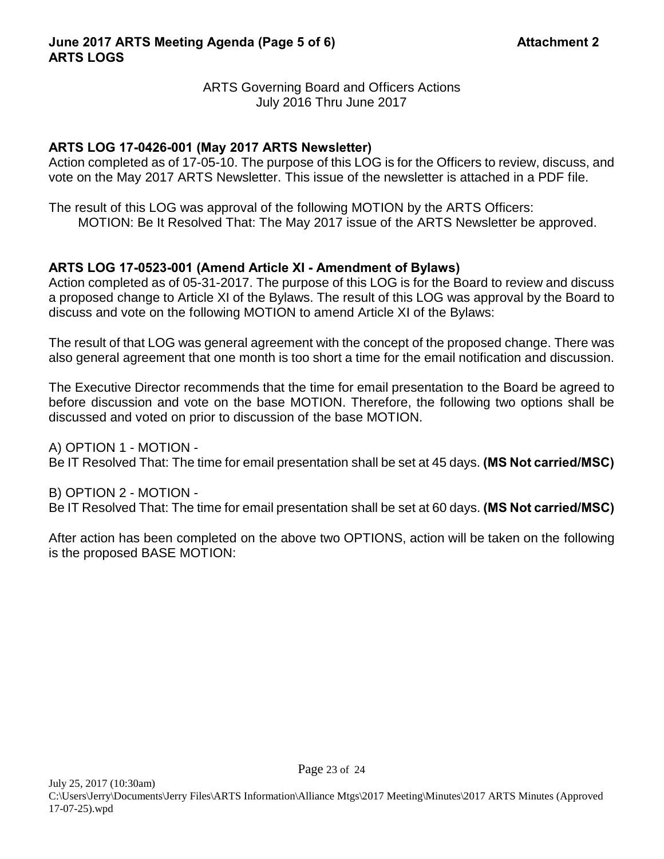## **ARTS LOG 17-0426-001 (May 2017 ARTS Newsletter)**

Action completed as of 17-05-10. The purpose of this LOG is for the Officers to review, discuss, and vote on the May 2017 ARTS Newsletter. This issue of the newsletter is attached in a PDF file.

The result of this LOG was approval of the following MOTION by the ARTS Officers: MOTION: Be It Resolved That: The May 2017 issue of the ARTS Newsletter be approved.

## **ARTS LOG 17-0523-001 (Amend Article XI - Amendment of Bylaws)**

Action completed as of 05-31-2017. The purpose of this LOG is for the Board to review and discuss a proposed change to Article XI of the Bylaws. The result of this LOG was approval by the Board to discuss and vote on the following MOTION to amend Article XI of the Bylaws:

The result of that LOG was general agreement with the concept of the proposed change. There was also general agreement that one month is too short a time for the email notification and discussion.

The Executive Director recommends that the time for email presentation to the Board be agreed to before discussion and vote on the base MOTION. Therefore, the following two options shall be discussed and voted on prior to discussion of the base MOTION.

A) OPTION 1 - MOTION - Be IT Resolved That: The time for email presentation shall be set at 45 days. **(MS Not carried/MSC)**

B) OPTION 2 - MOTION - Be IT Resolved That: The time for email presentation shall be set at 60 days. **(MS Not carried/MSC)**

After action has been completed on the above two OPTIONS, action will be taken on the following is the proposed BASE MOTION: